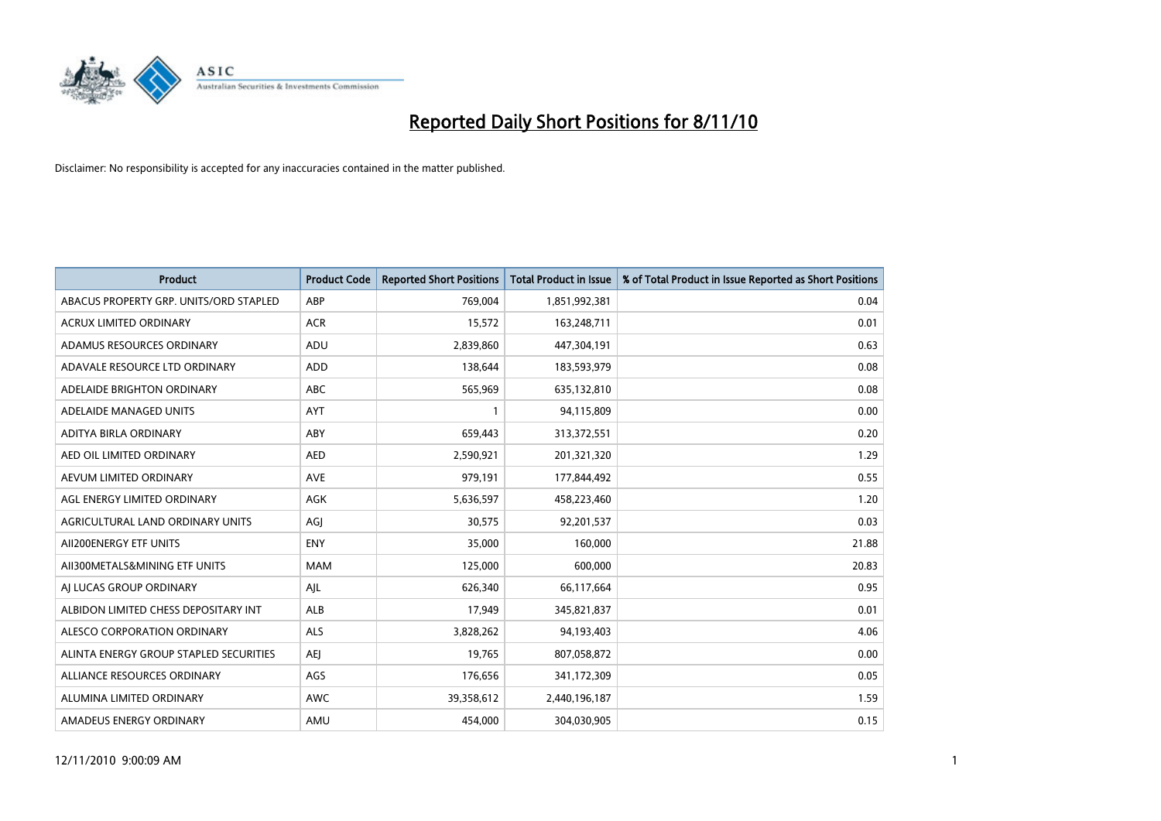

| <b>Product</b>                         | <b>Product Code</b> | <b>Reported Short Positions</b> | <b>Total Product in Issue</b> | % of Total Product in Issue Reported as Short Positions |
|----------------------------------------|---------------------|---------------------------------|-------------------------------|---------------------------------------------------------|
| ABACUS PROPERTY GRP. UNITS/ORD STAPLED | ABP                 | 769,004                         | 1,851,992,381                 | 0.04                                                    |
| ACRUX LIMITED ORDINARY                 | <b>ACR</b>          | 15,572                          | 163,248,711                   | 0.01                                                    |
| ADAMUS RESOURCES ORDINARY              | ADU                 | 2,839,860                       | 447,304,191                   | 0.63                                                    |
| ADAVALE RESOURCE LTD ORDINARY          | ADD                 | 138,644                         | 183,593,979                   | 0.08                                                    |
| ADELAIDE BRIGHTON ORDINARY             | <b>ABC</b>          | 565,969                         | 635,132,810                   | 0.08                                                    |
| ADELAIDE MANAGED UNITS                 | <b>AYT</b>          |                                 | 94,115,809                    | 0.00                                                    |
| ADITYA BIRLA ORDINARY                  | ABY                 | 659,443                         | 313,372,551                   | 0.20                                                    |
| AED OIL LIMITED ORDINARY               | <b>AED</b>          | 2,590,921                       | 201,321,320                   | 1.29                                                    |
| AEVUM LIMITED ORDINARY                 | <b>AVE</b>          | 979,191                         | 177,844,492                   | 0.55                                                    |
| AGL ENERGY LIMITED ORDINARY            | <b>AGK</b>          | 5,636,597                       | 458,223,460                   | 1.20                                                    |
| AGRICULTURAL LAND ORDINARY UNITS       | AGJ                 | 30,575                          | 92,201,537                    | 0.03                                                    |
| AII200ENERGY ETF UNITS                 | <b>ENY</b>          | 35,000                          | 160,000                       | 21.88                                                   |
| AII300METALS&MINING ETF UNITS          | <b>MAM</b>          | 125,000                         | 600,000                       | 20.83                                                   |
| AI LUCAS GROUP ORDINARY                | AJL                 | 626,340                         | 66,117,664                    | 0.95                                                    |
| ALBIDON LIMITED CHESS DEPOSITARY INT   | <b>ALB</b>          | 17,949                          | 345,821,837                   | 0.01                                                    |
| ALESCO CORPORATION ORDINARY            | ALS                 | 3,828,262                       | 94,193,403                    | 4.06                                                    |
| ALINTA ENERGY GROUP STAPLED SECURITIES | <b>AEI</b>          | 19,765                          | 807,058,872                   | 0.00                                                    |
| ALLIANCE RESOURCES ORDINARY            | AGS                 | 176,656                         | 341,172,309                   | 0.05                                                    |
| ALUMINA LIMITED ORDINARY               | <b>AWC</b>          | 39,358,612                      | 2,440,196,187                 | 1.59                                                    |
| AMADEUS ENERGY ORDINARY                | AMU                 | 454.000                         | 304,030,905                   | 0.15                                                    |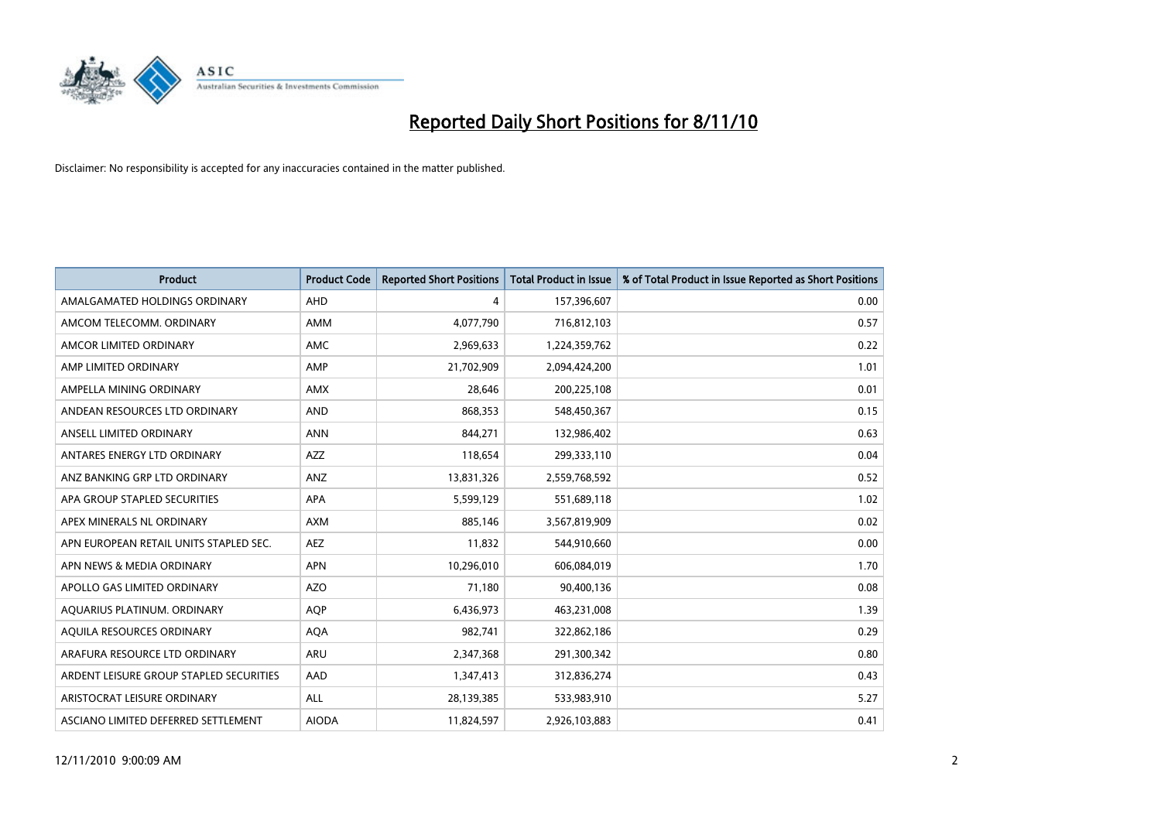

| <b>Product</b>                          | <b>Product Code</b> | <b>Reported Short Positions</b> | <b>Total Product in Issue</b> | % of Total Product in Issue Reported as Short Positions |
|-----------------------------------------|---------------------|---------------------------------|-------------------------------|---------------------------------------------------------|
| AMALGAMATED HOLDINGS ORDINARY           | AHD                 | 4                               | 157,396,607                   | 0.00                                                    |
| AMCOM TELECOMM. ORDINARY                | <b>AMM</b>          | 4,077,790                       | 716,812,103                   | 0.57                                                    |
| AMCOR LIMITED ORDINARY                  | AMC                 | 2,969,633                       | 1,224,359,762                 | 0.22                                                    |
| AMP LIMITED ORDINARY                    | AMP                 | 21,702,909                      | 2,094,424,200                 | 1.01                                                    |
| AMPELLA MINING ORDINARY                 | <b>AMX</b>          | 28,646                          | 200,225,108                   | 0.01                                                    |
| ANDEAN RESOURCES LTD ORDINARY           | <b>AND</b>          | 868,353                         | 548,450,367                   | 0.15                                                    |
| ANSELL LIMITED ORDINARY                 | <b>ANN</b>          | 844,271                         | 132,986,402                   | 0.63                                                    |
| ANTARES ENERGY LTD ORDINARY             | <b>AZZ</b>          | 118,654                         | 299,333,110                   | 0.04                                                    |
| ANZ BANKING GRP LTD ORDINARY            | <b>ANZ</b>          | 13,831,326                      | 2,559,768,592                 | 0.52                                                    |
| APA GROUP STAPLED SECURITIES            | <b>APA</b>          | 5,599,129                       | 551,689,118                   | 1.02                                                    |
| APEX MINERALS NL ORDINARY               | <b>AXM</b>          | 885.146                         | 3,567,819,909                 | 0.02                                                    |
| APN EUROPEAN RETAIL UNITS STAPLED SEC.  | <b>AEZ</b>          | 11,832                          | 544,910,660                   | 0.00                                                    |
| APN NEWS & MEDIA ORDINARY               | <b>APN</b>          | 10,296,010                      | 606,084,019                   | 1.70                                                    |
| APOLLO GAS LIMITED ORDINARY             | <b>AZO</b>          | 71,180                          | 90,400,136                    | 0.08                                                    |
| AQUARIUS PLATINUM. ORDINARY             | <b>AQP</b>          | 6,436,973                       | 463,231,008                   | 1.39                                                    |
| AQUILA RESOURCES ORDINARY               | <b>AQA</b>          | 982,741                         | 322,862,186                   | 0.29                                                    |
| ARAFURA RESOURCE LTD ORDINARY           | ARU                 | 2,347,368                       | 291,300,342                   | 0.80                                                    |
| ARDENT LEISURE GROUP STAPLED SECURITIES | AAD                 | 1,347,413                       | 312,836,274                   | 0.43                                                    |
| ARISTOCRAT LEISURE ORDINARY             | <b>ALL</b>          | 28,139,385                      | 533,983,910                   | 5.27                                                    |
| ASCIANO LIMITED DEFERRED SETTLEMENT     | <b>AIODA</b>        | 11,824,597                      | 2,926,103,883                 | 0.41                                                    |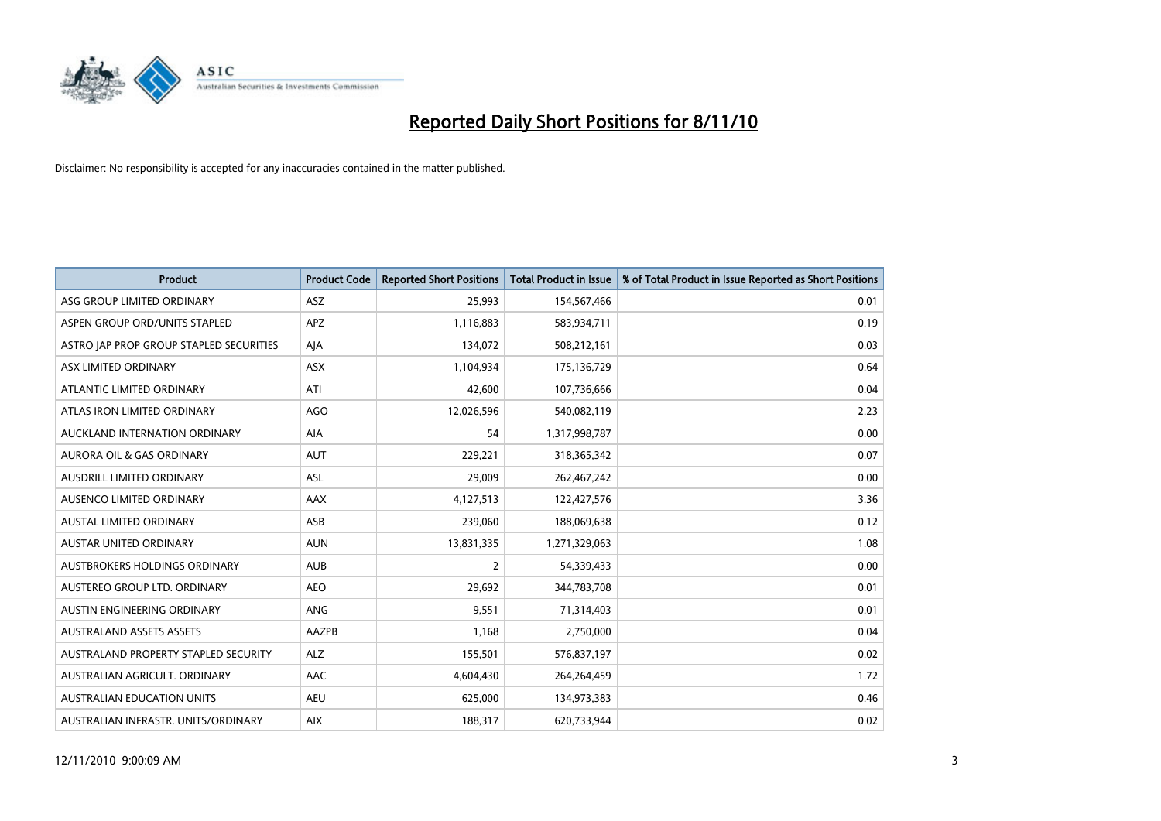

| <b>Product</b>                          | <b>Product Code</b> | <b>Reported Short Positions</b> | <b>Total Product in Issue</b> | % of Total Product in Issue Reported as Short Positions |
|-----------------------------------------|---------------------|---------------------------------|-------------------------------|---------------------------------------------------------|
| ASG GROUP LIMITED ORDINARY              | <b>ASZ</b>          | 25,993                          | 154,567,466                   | 0.01                                                    |
| ASPEN GROUP ORD/UNITS STAPLED           | APZ                 | 1,116,883                       | 583,934,711                   | 0.19                                                    |
| ASTRO JAP PROP GROUP STAPLED SECURITIES | AJA                 | 134,072                         | 508,212,161                   | 0.03                                                    |
| ASX LIMITED ORDINARY                    | <b>ASX</b>          | 1,104,934                       | 175,136,729                   | 0.64                                                    |
| ATLANTIC LIMITED ORDINARY               | ATI                 | 42,600                          | 107,736,666                   | 0.04                                                    |
| ATLAS IRON LIMITED ORDINARY             | <b>AGO</b>          | 12,026,596                      | 540,082,119                   | 2.23                                                    |
| AUCKLAND INTERNATION ORDINARY           | AIA                 | 54                              | 1,317,998,787                 | 0.00                                                    |
| AURORA OIL & GAS ORDINARY               | <b>AUT</b>          | 229,221                         | 318,365,342                   | 0.07                                                    |
| AUSDRILL LIMITED ORDINARY               | ASL                 | 29,009                          | 262,467,242                   | 0.00                                                    |
| AUSENCO LIMITED ORDINARY                | AAX                 | 4,127,513                       | 122,427,576                   | 3.36                                                    |
| <b>AUSTAL LIMITED ORDINARY</b>          | ASB                 | 239,060                         | 188,069,638                   | 0.12                                                    |
| AUSTAR UNITED ORDINARY                  | <b>AUN</b>          | 13,831,335                      | 1,271,329,063                 | 1.08                                                    |
| <b>AUSTBROKERS HOLDINGS ORDINARY</b>    | <b>AUB</b>          | $\overline{2}$                  | 54,339,433                    | 0.00                                                    |
| AUSTEREO GROUP LTD. ORDINARY            | <b>AEO</b>          | 29,692                          | 344,783,708                   | 0.01                                                    |
| AUSTIN ENGINEERING ORDINARY             | <b>ANG</b>          | 9,551                           | 71,314,403                    | 0.01                                                    |
| <b>AUSTRALAND ASSETS ASSETS</b>         | AAZPB               | 1,168                           | 2,750,000                     | 0.04                                                    |
| AUSTRALAND PROPERTY STAPLED SECURITY    | <b>ALZ</b>          | 155,501                         | 576,837,197                   | 0.02                                                    |
| AUSTRALIAN AGRICULT. ORDINARY           | AAC                 | 4,604,430                       | 264,264,459                   | 1.72                                                    |
| <b>AUSTRALIAN EDUCATION UNITS</b>       | <b>AEU</b>          | 625,000                         | 134,973,383                   | 0.46                                                    |
| AUSTRALIAN INFRASTR. UNITS/ORDINARY     | <b>AIX</b>          | 188,317                         | 620,733,944                   | 0.02                                                    |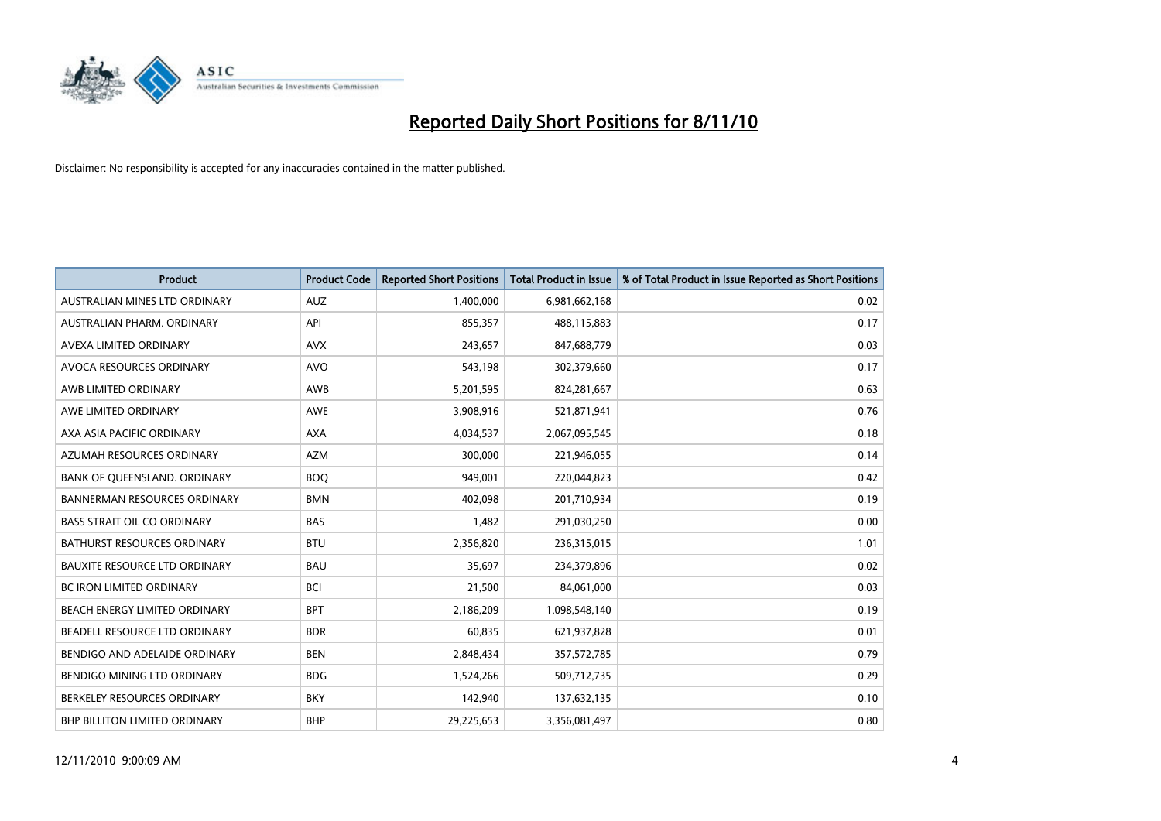

| <b>Product</b>                       | <b>Product Code</b> | <b>Reported Short Positions</b> | Total Product in Issue | % of Total Product in Issue Reported as Short Positions |
|--------------------------------------|---------------------|---------------------------------|------------------------|---------------------------------------------------------|
| AUSTRALIAN MINES LTD ORDINARY        | <b>AUZ</b>          | 1,400,000                       | 6,981,662,168          | 0.02                                                    |
| AUSTRALIAN PHARM, ORDINARY           | API                 | 855,357                         | 488,115,883            | 0.17                                                    |
| AVEXA LIMITED ORDINARY               | <b>AVX</b>          | 243,657                         | 847,688,779            | 0.03                                                    |
| AVOCA RESOURCES ORDINARY             | <b>AVO</b>          | 543,198                         | 302,379,660            | 0.17                                                    |
| AWB LIMITED ORDINARY                 | AWB                 | 5,201,595                       | 824,281,667            | 0.63                                                    |
| AWE LIMITED ORDINARY                 | <b>AWE</b>          | 3,908,916                       | 521,871,941            | 0.76                                                    |
| AXA ASIA PACIFIC ORDINARY            | <b>AXA</b>          | 4,034,537                       | 2,067,095,545          | 0.18                                                    |
| AZUMAH RESOURCES ORDINARY            | <b>AZM</b>          | 300,000                         | 221,946,055            | 0.14                                                    |
| BANK OF QUEENSLAND. ORDINARY         | <b>BOO</b>          | 949,001                         | 220,044,823            | 0.42                                                    |
| <b>BANNERMAN RESOURCES ORDINARY</b>  | <b>BMN</b>          | 402.098                         | 201,710,934            | 0.19                                                    |
| <b>BASS STRAIT OIL CO ORDINARY</b>   | <b>BAS</b>          | 1,482                           | 291,030,250            | 0.00                                                    |
| <b>BATHURST RESOURCES ORDINARY</b>   | <b>BTU</b>          | 2,356,820                       | 236,315,015            | 1.01                                                    |
| <b>BAUXITE RESOURCE LTD ORDINARY</b> | <b>BAU</b>          | 35.697                          | 234,379,896            | 0.02                                                    |
| <b>BC IRON LIMITED ORDINARY</b>      | <b>BCI</b>          | 21,500                          | 84,061,000             | 0.03                                                    |
| BEACH ENERGY LIMITED ORDINARY        | <b>BPT</b>          | 2,186,209                       | 1,098,548,140          | 0.19                                                    |
| BEADELL RESOURCE LTD ORDINARY        | <b>BDR</b>          | 60,835                          | 621,937,828            | 0.01                                                    |
| BENDIGO AND ADELAIDE ORDINARY        | <b>BEN</b>          | 2,848,434                       | 357,572,785            | 0.79                                                    |
| BENDIGO MINING LTD ORDINARY          | <b>BDG</b>          | 1,524,266                       | 509,712,735            | 0.29                                                    |
| BERKELEY RESOURCES ORDINARY          | <b>BKY</b>          | 142,940                         | 137,632,135            | 0.10                                                    |
| <b>BHP BILLITON LIMITED ORDINARY</b> | <b>BHP</b>          | 29,225,653                      | 3,356,081,497          | 0.80                                                    |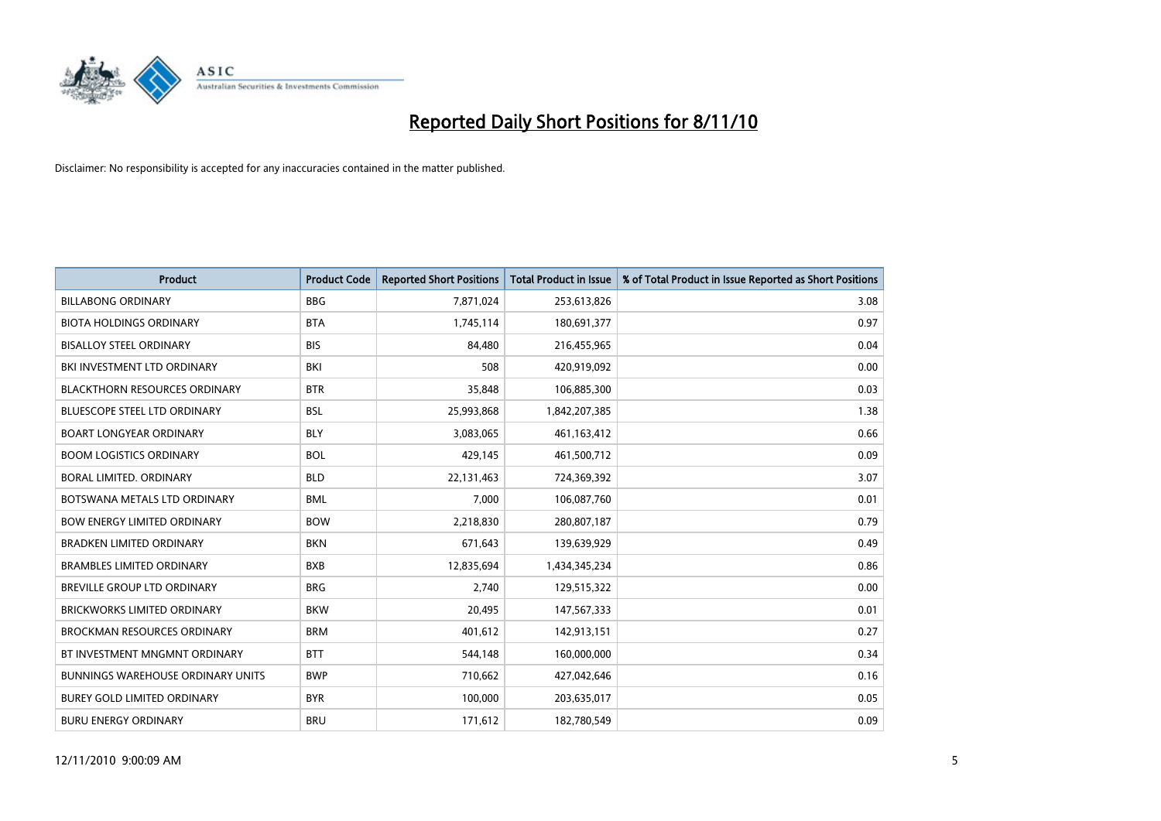

| <b>Product</b>                           | <b>Product Code</b> | <b>Reported Short Positions</b> | <b>Total Product in Issue</b> | % of Total Product in Issue Reported as Short Positions |
|------------------------------------------|---------------------|---------------------------------|-------------------------------|---------------------------------------------------------|
| <b>BILLABONG ORDINARY</b>                | <b>BBG</b>          | 7,871,024                       | 253,613,826                   | 3.08                                                    |
| <b>BIOTA HOLDINGS ORDINARY</b>           | <b>BTA</b>          | 1,745,114                       | 180,691,377                   | 0.97                                                    |
| <b>BISALLOY STEEL ORDINARY</b>           | <b>BIS</b>          | 84.480                          | 216,455,965                   | 0.04                                                    |
| BKI INVESTMENT LTD ORDINARY              | BKI                 | 508                             | 420,919,092                   | 0.00                                                    |
| <b>BLACKTHORN RESOURCES ORDINARY</b>     | <b>BTR</b>          | 35,848                          | 106,885,300                   | 0.03                                                    |
| <b>BLUESCOPE STEEL LTD ORDINARY</b>      | <b>BSL</b>          | 25,993,868                      | 1,842,207,385                 | 1.38                                                    |
| <b>BOART LONGYEAR ORDINARY</b>           | <b>BLY</b>          | 3,083,065                       | 461, 163, 412                 | 0.66                                                    |
| <b>BOOM LOGISTICS ORDINARY</b>           | <b>BOL</b>          | 429,145                         | 461,500,712                   | 0.09                                                    |
| BORAL LIMITED, ORDINARY                  | <b>BLD</b>          | 22,131,463                      | 724,369,392                   | 3.07                                                    |
| BOTSWANA METALS LTD ORDINARY             | <b>BML</b>          | 7,000                           | 106,087,760                   | 0.01                                                    |
| BOW ENERGY LIMITED ORDINARY              | <b>BOW</b>          | 2,218,830                       | 280,807,187                   | 0.79                                                    |
| <b>BRADKEN LIMITED ORDINARY</b>          | <b>BKN</b>          | 671,643                         | 139,639,929                   | 0.49                                                    |
| <b>BRAMBLES LIMITED ORDINARY</b>         | <b>BXB</b>          | 12,835,694                      | 1,434,345,234                 | 0.86                                                    |
| <b>BREVILLE GROUP LTD ORDINARY</b>       | <b>BRG</b>          | 2,740                           | 129,515,322                   | 0.00                                                    |
| <b>BRICKWORKS LIMITED ORDINARY</b>       | <b>BKW</b>          | 20,495                          | 147,567,333                   | 0.01                                                    |
| <b>BROCKMAN RESOURCES ORDINARY</b>       | <b>BRM</b>          | 401,612                         | 142,913,151                   | 0.27                                                    |
| BT INVESTMENT MNGMNT ORDINARY            | <b>BTT</b>          | 544,148                         | 160,000,000                   | 0.34                                                    |
| <b>BUNNINGS WAREHOUSE ORDINARY UNITS</b> | <b>BWP</b>          | 710,662                         | 427,042,646                   | 0.16                                                    |
| <b>BUREY GOLD LIMITED ORDINARY</b>       | <b>BYR</b>          | 100,000                         | 203,635,017                   | 0.05                                                    |
| <b>BURU ENERGY ORDINARY</b>              | <b>BRU</b>          | 171,612                         | 182,780,549                   | 0.09                                                    |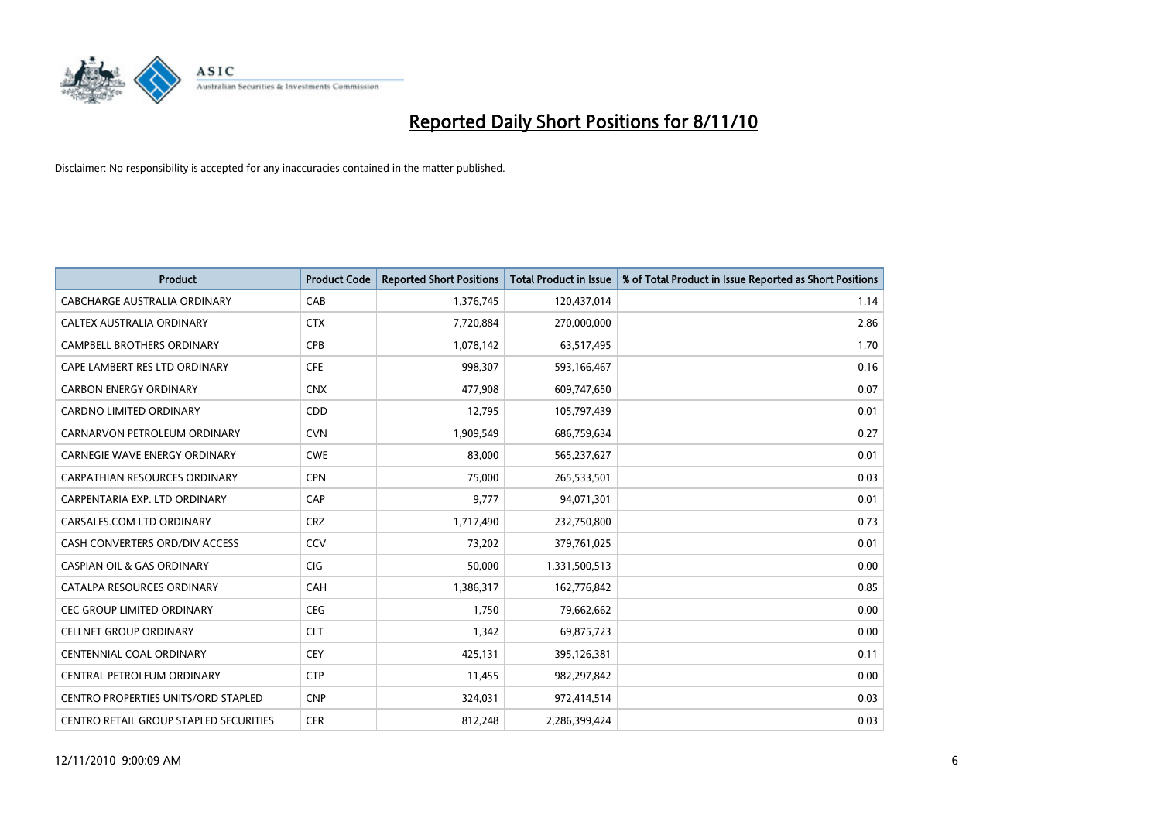

| <b>Product</b>                             | <b>Product Code</b> | <b>Reported Short Positions</b> | <b>Total Product in Issue</b> | % of Total Product in Issue Reported as Short Positions |
|--------------------------------------------|---------------------|---------------------------------|-------------------------------|---------------------------------------------------------|
| <b>CABCHARGE AUSTRALIA ORDINARY</b>        | CAB                 | 1,376,745                       | 120,437,014                   | 1.14                                                    |
| CALTEX AUSTRALIA ORDINARY                  | <b>CTX</b>          | 7,720,884                       | 270,000,000                   | 2.86                                                    |
| <b>CAMPBELL BROTHERS ORDINARY</b>          | CPB                 | 1,078,142                       | 63,517,495                    | 1.70                                                    |
| CAPE LAMBERT RES LTD ORDINARY              | <b>CFE</b>          | 998,307                         | 593,166,467                   | 0.16                                                    |
| <b>CARBON ENERGY ORDINARY</b>              | <b>CNX</b>          | 477,908                         | 609,747,650                   | 0.07                                                    |
| <b>CARDNO LIMITED ORDINARY</b>             | CDD                 | 12,795                          | 105,797,439                   | 0.01                                                    |
| CARNARVON PETROLEUM ORDINARY               | <b>CVN</b>          | 1,909,549                       | 686,759,634                   | 0.27                                                    |
| <b>CARNEGIE WAVE ENERGY ORDINARY</b>       | <b>CWE</b>          | 83,000                          | 565,237,627                   | 0.01                                                    |
| CARPATHIAN RESOURCES ORDINARY              | <b>CPN</b>          | 75,000                          | 265,533,501                   | 0.03                                                    |
| CARPENTARIA EXP. LTD ORDINARY              | CAP                 | 9,777                           | 94,071,301                    | 0.01                                                    |
| CARSALES.COM LTD ORDINARY                  | <b>CRZ</b>          | 1,717,490                       | 232,750,800                   | 0.73                                                    |
| CASH CONVERTERS ORD/DIV ACCESS             | CCV                 | 73,202                          | 379,761,025                   | 0.01                                                    |
| <b>CASPIAN OIL &amp; GAS ORDINARY</b>      | <b>CIG</b>          | 50,000                          | 1,331,500,513                 | 0.00                                                    |
| CATALPA RESOURCES ORDINARY                 | CAH                 | 1,386,317                       | 162,776,842                   | 0.85                                                    |
| <b>CEC GROUP LIMITED ORDINARY</b>          | <b>CEG</b>          | 1,750                           | 79,662,662                    | 0.00                                                    |
| <b>CELLNET GROUP ORDINARY</b>              | <b>CLT</b>          | 1,342                           | 69,875,723                    | 0.00                                                    |
| <b>CENTENNIAL COAL ORDINARY</b>            | CEY                 | 425,131                         | 395,126,381                   | 0.11                                                    |
| CENTRAL PETROLEUM ORDINARY                 | <b>CTP</b>          | 11,455                          | 982,297,842                   | 0.00                                                    |
| <b>CENTRO PROPERTIES UNITS/ORD STAPLED</b> | <b>CNP</b>          | 324,031                         | 972,414,514                   | 0.03                                                    |
| CENTRO RETAIL GROUP STAPLED SECURITIES     | <b>CER</b>          | 812,248                         | 2,286,399,424                 | 0.03                                                    |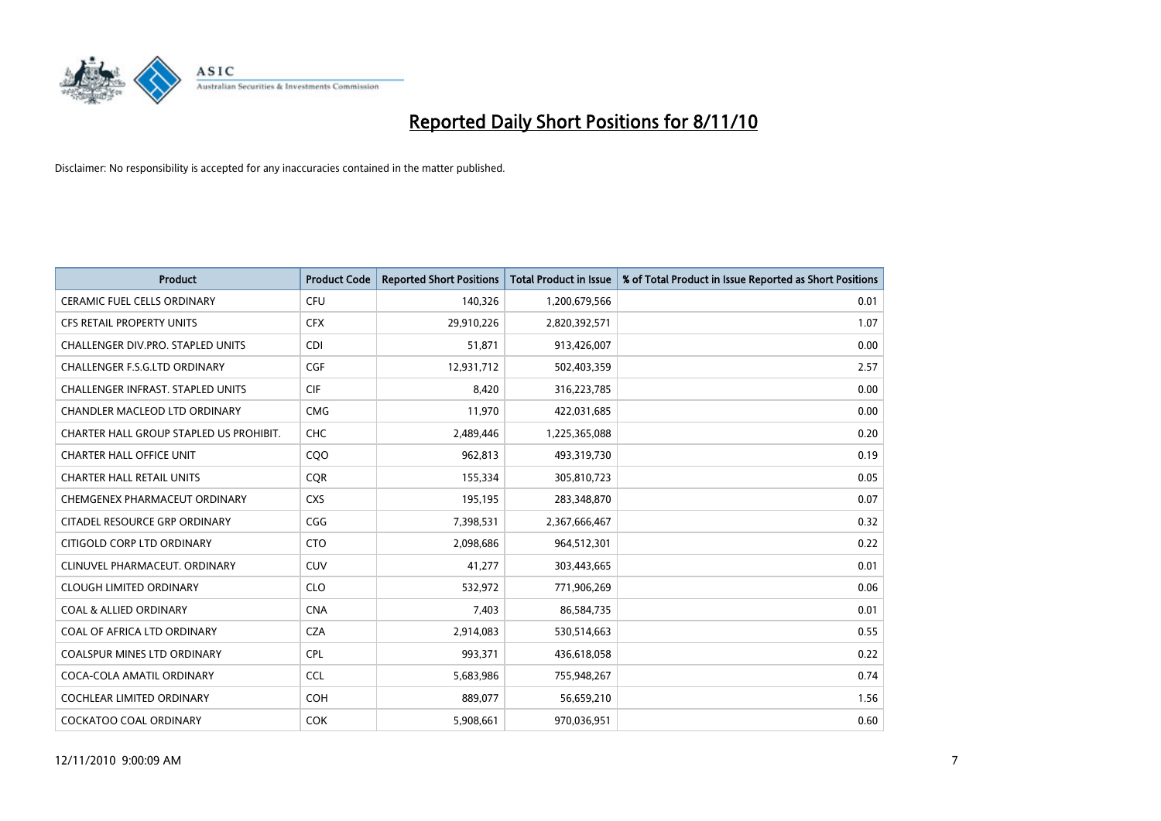

| <b>Product</b>                           | <b>Product Code</b> | <b>Reported Short Positions</b> | Total Product in Issue | % of Total Product in Issue Reported as Short Positions |
|------------------------------------------|---------------------|---------------------------------|------------------------|---------------------------------------------------------|
| <b>CERAMIC FUEL CELLS ORDINARY</b>       | CFU                 | 140,326                         | 1,200,679,566          | 0.01                                                    |
| CFS RETAIL PROPERTY UNITS                | <b>CFX</b>          | 29,910,226                      | 2,820,392,571          | 1.07                                                    |
| <b>CHALLENGER DIV.PRO. STAPLED UNITS</b> | <b>CDI</b>          | 51,871                          | 913,426,007            | 0.00                                                    |
| CHALLENGER F.S.G.LTD ORDINARY            | <b>CGF</b>          | 12,931,712                      | 502,403,359            | 2.57                                                    |
| CHALLENGER INFRAST. STAPLED UNITS        | <b>CIF</b>          | 8,420                           | 316,223,785            | 0.00                                                    |
| CHANDLER MACLEOD LTD ORDINARY            | <b>CMG</b>          | 11,970                          | 422,031,685            | 0.00                                                    |
| CHARTER HALL GROUP STAPLED US PROHIBIT.  | <b>CHC</b>          | 2,489,446                       | 1,225,365,088          | 0.20                                                    |
| <b>CHARTER HALL OFFICE UNIT</b>          | CQO                 | 962,813                         | 493,319,730            | 0.19                                                    |
| <b>CHARTER HALL RETAIL UNITS</b>         | <b>COR</b>          | 155,334                         | 305,810,723            | 0.05                                                    |
| CHEMGENEX PHARMACEUT ORDINARY            | <b>CXS</b>          | 195,195                         | 283,348,870            | 0.07                                                    |
| CITADEL RESOURCE GRP ORDINARY            | CGG                 | 7,398,531                       | 2,367,666,467          | 0.32                                                    |
| CITIGOLD CORP LTD ORDINARY               | <b>CTO</b>          | 2,098,686                       | 964,512,301            | 0.22                                                    |
| CLINUVEL PHARMACEUT, ORDINARY            | <b>CUV</b>          | 41,277                          | 303,443,665            | 0.01                                                    |
| <b>CLOUGH LIMITED ORDINARY</b>           | <b>CLO</b>          | 532,972                         | 771,906,269            | 0.06                                                    |
| <b>COAL &amp; ALLIED ORDINARY</b>        | <b>CNA</b>          | 7,403                           | 86,584,735             | 0.01                                                    |
| COAL OF AFRICA LTD ORDINARY              | <b>CZA</b>          | 2,914,083                       | 530,514,663            | 0.55                                                    |
| <b>COALSPUR MINES LTD ORDINARY</b>       | <b>CPL</b>          | 993,371                         | 436,618,058            | 0.22                                                    |
| COCA-COLA AMATIL ORDINARY                | <b>CCL</b>          | 5,683,986                       | 755,948,267            | 0.74                                                    |
| <b>COCHLEAR LIMITED ORDINARY</b>         | <b>COH</b>          | 889,077                         | 56,659,210             | 1.56                                                    |
| <b>COCKATOO COAL ORDINARY</b>            | <b>COK</b>          | 5,908,661                       | 970,036,951            | 0.60                                                    |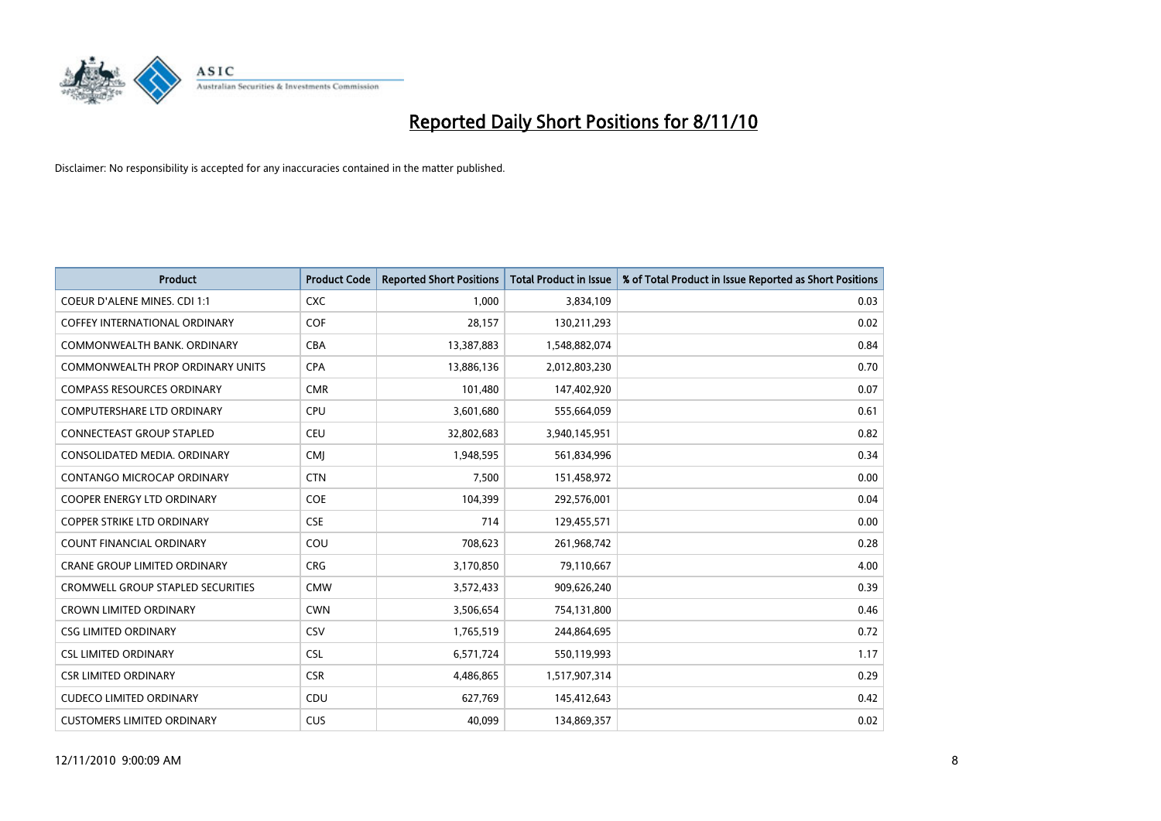

| <b>Product</b>                           | <b>Product Code</b> | <b>Reported Short Positions</b> | Total Product in Issue | % of Total Product in Issue Reported as Short Positions |
|------------------------------------------|---------------------|---------------------------------|------------------------|---------------------------------------------------------|
| <b>COEUR D'ALENE MINES. CDI 1:1</b>      | <b>CXC</b>          | 1,000                           | 3,834,109              | 0.03                                                    |
| COFFEY INTERNATIONAL ORDINARY            | <b>COF</b>          | 28,157                          | 130,211,293            | 0.02                                                    |
| COMMONWEALTH BANK, ORDINARY              | <b>CBA</b>          | 13,387,883                      | 1,548,882,074          | 0.84                                                    |
| COMMONWEALTH PROP ORDINARY UNITS         | <b>CPA</b>          | 13,886,136                      | 2,012,803,230          | 0.70                                                    |
| <b>COMPASS RESOURCES ORDINARY</b>        | <b>CMR</b>          | 101,480                         | 147,402,920            | 0.07                                                    |
| <b>COMPUTERSHARE LTD ORDINARY</b>        | CPU                 | 3,601,680                       | 555,664,059            | 0.61                                                    |
| <b>CONNECTEAST GROUP STAPLED</b>         | <b>CEU</b>          | 32,802,683                      | 3,940,145,951          | 0.82                                                    |
| CONSOLIDATED MEDIA, ORDINARY             | CMJ                 | 1,948,595                       | 561,834,996            | 0.34                                                    |
| CONTANGO MICROCAP ORDINARY               | <b>CTN</b>          | 7,500                           | 151,458,972            | 0.00                                                    |
| <b>COOPER ENERGY LTD ORDINARY</b>        | <b>COE</b>          | 104,399                         | 292,576,001            | 0.04                                                    |
| <b>COPPER STRIKE LTD ORDINARY</b>        | <b>CSE</b>          | 714                             | 129,455,571            | 0.00                                                    |
| <b>COUNT FINANCIAL ORDINARY</b>          | COU                 | 708,623                         | 261,968,742            | 0.28                                                    |
| <b>CRANE GROUP LIMITED ORDINARY</b>      | <b>CRG</b>          | 3,170,850                       | 79,110,667             | 4.00                                                    |
| <b>CROMWELL GROUP STAPLED SECURITIES</b> | <b>CMW</b>          | 3,572,433                       | 909,626,240            | 0.39                                                    |
| <b>CROWN LIMITED ORDINARY</b>            | <b>CWN</b>          | 3,506,654                       | 754,131,800            | 0.46                                                    |
| <b>CSG LIMITED ORDINARY</b>              | CSV                 | 1,765,519                       | 244,864,695            | 0.72                                                    |
| <b>CSL LIMITED ORDINARY</b>              | <b>CSL</b>          | 6,571,724                       | 550,119,993            | 1.17                                                    |
| <b>CSR LIMITED ORDINARY</b>              | <b>CSR</b>          | 4,486,865                       | 1,517,907,314          | 0.29                                                    |
| <b>CUDECO LIMITED ORDINARY</b>           | CDU                 | 627,769                         | 145,412,643            | 0.42                                                    |
| <b>CUSTOMERS LIMITED ORDINARY</b>        | CUS                 | 40.099                          | 134,869,357            | 0.02                                                    |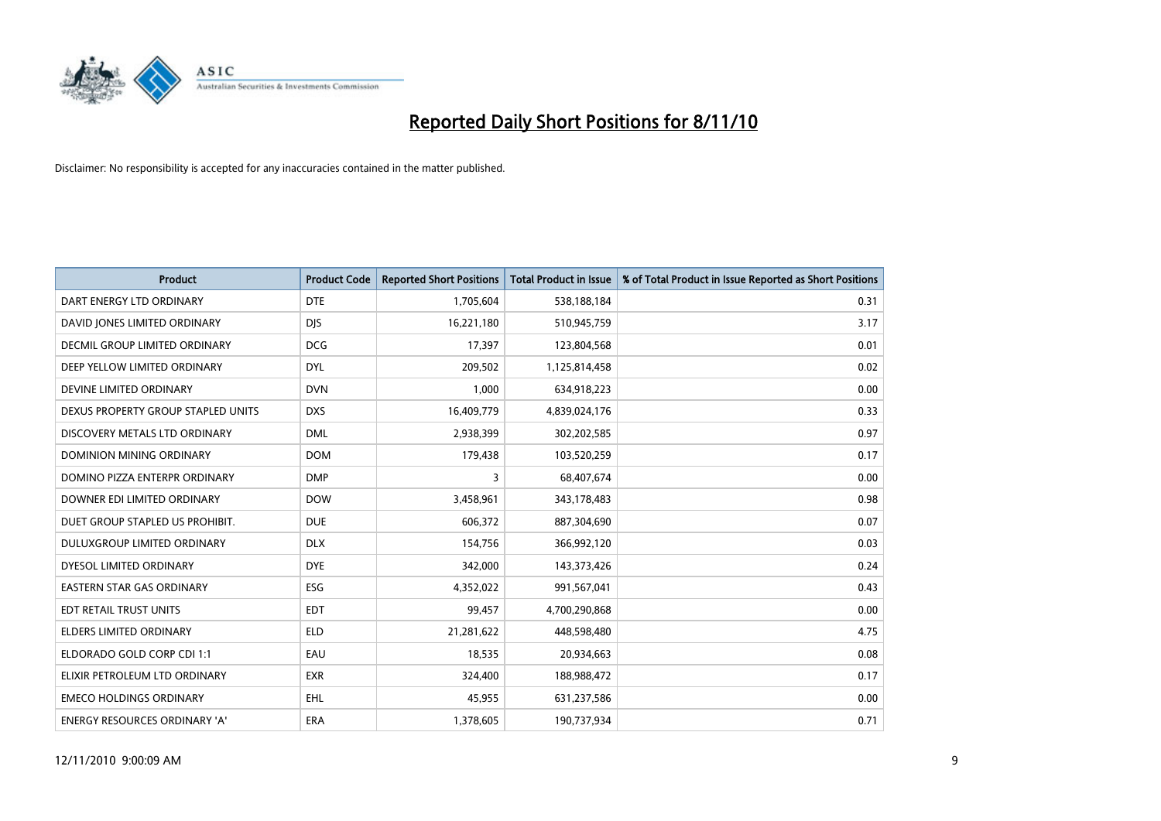

| <b>Product</b>                       | <b>Product Code</b> | <b>Reported Short Positions</b> | Total Product in Issue | % of Total Product in Issue Reported as Short Positions |
|--------------------------------------|---------------------|---------------------------------|------------------------|---------------------------------------------------------|
| DART ENERGY LTD ORDINARY             | <b>DTE</b>          | 1,705,604                       | 538,188,184            | 0.31                                                    |
| DAVID JONES LIMITED ORDINARY         | <b>DIS</b>          | 16,221,180                      | 510,945,759            | 3.17                                                    |
| <b>DECMIL GROUP LIMITED ORDINARY</b> | <b>DCG</b>          | 17,397                          | 123,804,568            | 0.01                                                    |
| DEEP YELLOW LIMITED ORDINARY         | <b>DYL</b>          | 209,502                         | 1,125,814,458          | 0.02                                                    |
| DEVINE LIMITED ORDINARY              | <b>DVN</b>          | 1,000                           | 634,918,223            | 0.00                                                    |
| DEXUS PROPERTY GROUP STAPLED UNITS   | <b>DXS</b>          | 16,409,779                      | 4,839,024,176          | 0.33                                                    |
| DISCOVERY METALS LTD ORDINARY        | <b>DML</b>          | 2,938,399                       | 302,202,585            | 0.97                                                    |
| DOMINION MINING ORDINARY             | <b>DOM</b>          | 179,438                         | 103,520,259            | 0.17                                                    |
| DOMINO PIZZA ENTERPR ORDINARY        | <b>DMP</b>          | 3                               | 68,407,674             | 0.00                                                    |
| DOWNER EDI LIMITED ORDINARY          | <b>DOW</b>          | 3,458,961                       | 343,178,483            | 0.98                                                    |
| DUET GROUP STAPLED US PROHIBIT.      | <b>DUE</b>          | 606,372                         | 887,304,690            | 0.07                                                    |
| <b>DULUXGROUP LIMITED ORDINARY</b>   | <b>DLX</b>          | 154,756                         | 366,992,120            | 0.03                                                    |
| DYESOL LIMITED ORDINARY              | <b>DYE</b>          | 342,000                         | 143,373,426            | 0.24                                                    |
| <b>EASTERN STAR GAS ORDINARY</b>     | ESG                 | 4,352,022                       | 991,567,041            | 0.43                                                    |
| EDT RETAIL TRUST UNITS               | <b>EDT</b>          | 99,457                          | 4,700,290,868          | 0.00                                                    |
| <b>ELDERS LIMITED ORDINARY</b>       | <b>ELD</b>          | 21,281,622                      | 448,598,480            | 4.75                                                    |
| ELDORADO GOLD CORP CDI 1:1           | EAU                 | 18,535                          | 20,934,663             | 0.08                                                    |
| ELIXIR PETROLEUM LTD ORDINARY        | <b>EXR</b>          | 324,400                         | 188,988,472            | 0.17                                                    |
| <b>EMECO HOLDINGS ORDINARY</b>       | <b>EHL</b>          | 45,955                          | 631,237,586            | 0.00                                                    |
| <b>ENERGY RESOURCES ORDINARY 'A'</b> | <b>ERA</b>          | 1,378,605                       | 190,737,934            | 0.71                                                    |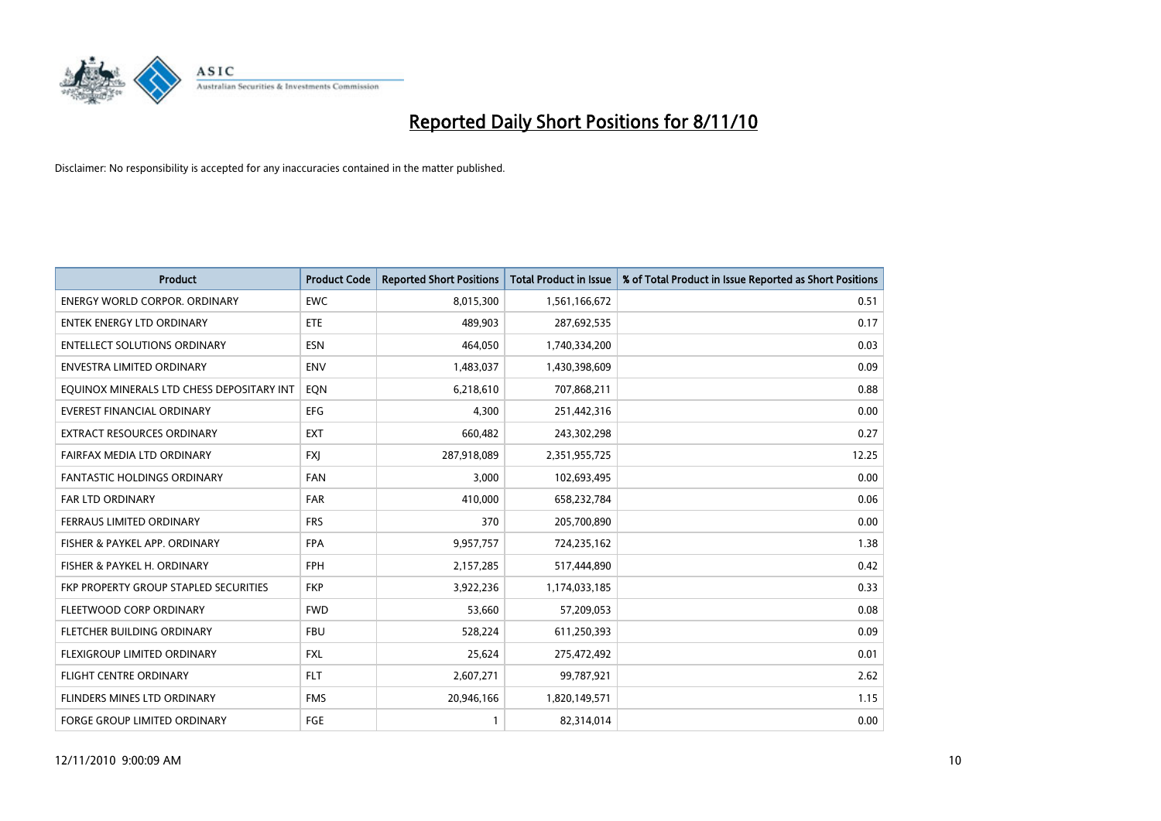

| <b>Product</b>                            | <b>Product Code</b> | <b>Reported Short Positions</b> | <b>Total Product in Issue</b> | % of Total Product in Issue Reported as Short Positions |
|-------------------------------------------|---------------------|---------------------------------|-------------------------------|---------------------------------------------------------|
| <b>ENERGY WORLD CORPOR, ORDINARY</b>      | <b>EWC</b>          | 8,015,300                       | 1,561,166,672                 | 0.51                                                    |
| <b>ENTEK ENERGY LTD ORDINARY</b>          | <b>ETE</b>          | 489.903                         | 287,692,535                   | 0.17                                                    |
| <b>ENTELLECT SOLUTIONS ORDINARY</b>       | <b>ESN</b>          | 464,050                         | 1,740,334,200                 | 0.03                                                    |
| ENVESTRA LIMITED ORDINARY                 | <b>ENV</b>          | 1,483,037                       | 1,430,398,609                 | 0.09                                                    |
| EQUINOX MINERALS LTD CHESS DEPOSITARY INT | EQN                 | 6,218,610                       | 707,868,211                   | 0.88                                                    |
| <b>EVEREST FINANCIAL ORDINARY</b>         | <b>EFG</b>          | 4,300                           | 251,442,316                   | 0.00                                                    |
| <b>EXTRACT RESOURCES ORDINARY</b>         | <b>EXT</b>          | 660,482                         | 243,302,298                   | 0.27                                                    |
| FAIRFAX MEDIA LTD ORDINARY                | <b>FXI</b>          | 287,918,089                     | 2,351,955,725                 | 12.25                                                   |
| <b>FANTASTIC HOLDINGS ORDINARY</b>        | <b>FAN</b>          | 3,000                           | 102,693,495                   | 0.00                                                    |
| <b>FAR LTD ORDINARY</b>                   | <b>FAR</b>          | 410,000                         | 658,232,784                   | 0.06                                                    |
| FERRAUS LIMITED ORDINARY                  | <b>FRS</b>          | 370                             | 205,700,890                   | 0.00                                                    |
| FISHER & PAYKEL APP. ORDINARY             | <b>FPA</b>          | 9,957,757                       | 724,235,162                   | 1.38                                                    |
| FISHER & PAYKEL H. ORDINARY               | <b>FPH</b>          | 2,157,285                       | 517,444,890                   | 0.42                                                    |
| FKP PROPERTY GROUP STAPLED SECURITIES     | <b>FKP</b>          | 3,922,236                       | 1,174,033,185                 | 0.33                                                    |
| FLEETWOOD CORP ORDINARY                   | <b>FWD</b>          | 53,660                          | 57,209,053                    | 0.08                                                    |
| FLETCHER BUILDING ORDINARY                | <b>FBU</b>          | 528,224                         | 611,250,393                   | 0.09                                                    |
| FLEXIGROUP LIMITED ORDINARY               | <b>FXL</b>          | 25,624                          | 275,472,492                   | 0.01                                                    |
| FLIGHT CENTRE ORDINARY                    | <b>FLT</b>          | 2,607,271                       | 99,787,921                    | 2.62                                                    |
| FLINDERS MINES LTD ORDINARY               | <b>FMS</b>          | 20,946,166                      | 1,820,149,571                 | 1.15                                                    |
| <b>FORGE GROUP LIMITED ORDINARY</b>       | FGE                 |                                 | 82,314,014                    | 0.00                                                    |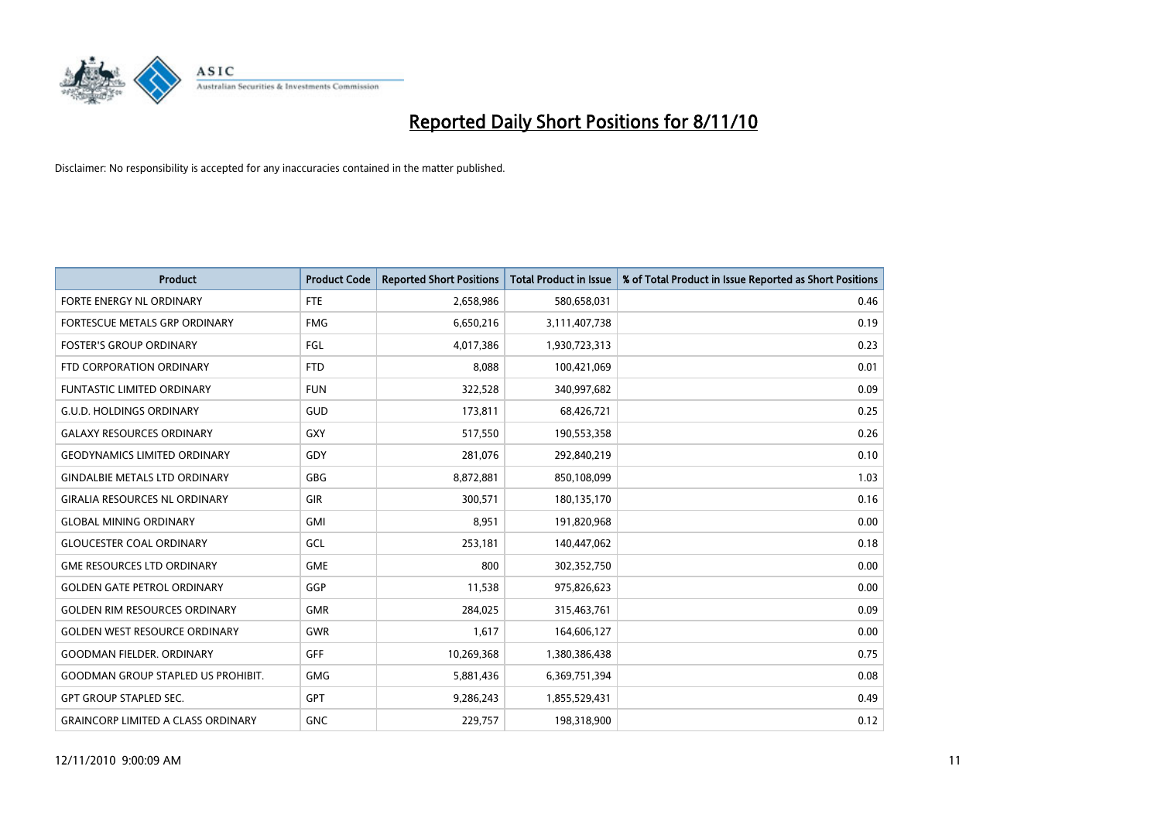

| <b>Product</b>                            | <b>Product Code</b> | <b>Reported Short Positions</b> | Total Product in Issue | % of Total Product in Issue Reported as Short Positions |
|-------------------------------------------|---------------------|---------------------------------|------------------------|---------------------------------------------------------|
| FORTE ENERGY NL ORDINARY                  | <b>FTE</b>          | 2,658,986                       | 580,658,031            | 0.46                                                    |
| FORTESCUE METALS GRP ORDINARY             | <b>FMG</b>          | 6,650,216                       | 3,111,407,738          | 0.19                                                    |
| <b>FOSTER'S GROUP ORDINARY</b>            | FGL                 | 4,017,386                       | 1,930,723,313          | 0.23                                                    |
| FTD CORPORATION ORDINARY                  | <b>FTD</b>          | 8,088                           | 100,421,069            | 0.01                                                    |
| <b>FUNTASTIC LIMITED ORDINARY</b>         | <b>FUN</b>          | 322,528                         | 340,997,682            | 0.09                                                    |
| <b>G.U.D. HOLDINGS ORDINARY</b>           | GUD                 | 173,811                         | 68,426,721             | 0.25                                                    |
| <b>GALAXY RESOURCES ORDINARY</b>          | <b>GXY</b>          | 517,550                         | 190,553,358            | 0.26                                                    |
| <b>GEODYNAMICS LIMITED ORDINARY</b>       | GDY                 | 281,076                         | 292,840,219            | 0.10                                                    |
| <b>GINDALBIE METALS LTD ORDINARY</b>      | <b>GBG</b>          | 8,872,881                       | 850,108,099            | 1.03                                                    |
| <b>GIRALIA RESOURCES NL ORDINARY</b>      | <b>GIR</b>          | 300,571                         | 180,135,170            | 0.16                                                    |
| <b>GLOBAL MINING ORDINARY</b>             | <b>GMI</b>          | 8,951                           | 191,820,968            | 0.00                                                    |
| <b>GLOUCESTER COAL ORDINARY</b>           | GCL                 | 253,181                         | 140,447,062            | 0.18                                                    |
| <b>GME RESOURCES LTD ORDINARY</b>         | <b>GME</b>          | 800                             | 302,352,750            | 0.00                                                    |
| <b>GOLDEN GATE PETROL ORDINARY</b>        | GGP                 | 11,538                          | 975,826,623            | 0.00                                                    |
| <b>GOLDEN RIM RESOURCES ORDINARY</b>      | <b>GMR</b>          | 284,025                         | 315,463,761            | 0.09                                                    |
| <b>GOLDEN WEST RESOURCE ORDINARY</b>      | <b>GWR</b>          | 1,617                           | 164,606,127            | 0.00                                                    |
| <b>GOODMAN FIELDER, ORDINARY</b>          | <b>GFF</b>          | 10,269,368                      | 1,380,386,438          | 0.75                                                    |
| <b>GOODMAN GROUP STAPLED US PROHIBIT.</b> | <b>GMG</b>          | 5,881,436                       | 6,369,751,394          | 0.08                                                    |
| <b>GPT GROUP STAPLED SEC.</b>             | <b>GPT</b>          | 9,286,243                       | 1,855,529,431          | 0.49                                                    |
| <b>GRAINCORP LIMITED A CLASS ORDINARY</b> | <b>GNC</b>          | 229,757                         | 198,318,900            | 0.12                                                    |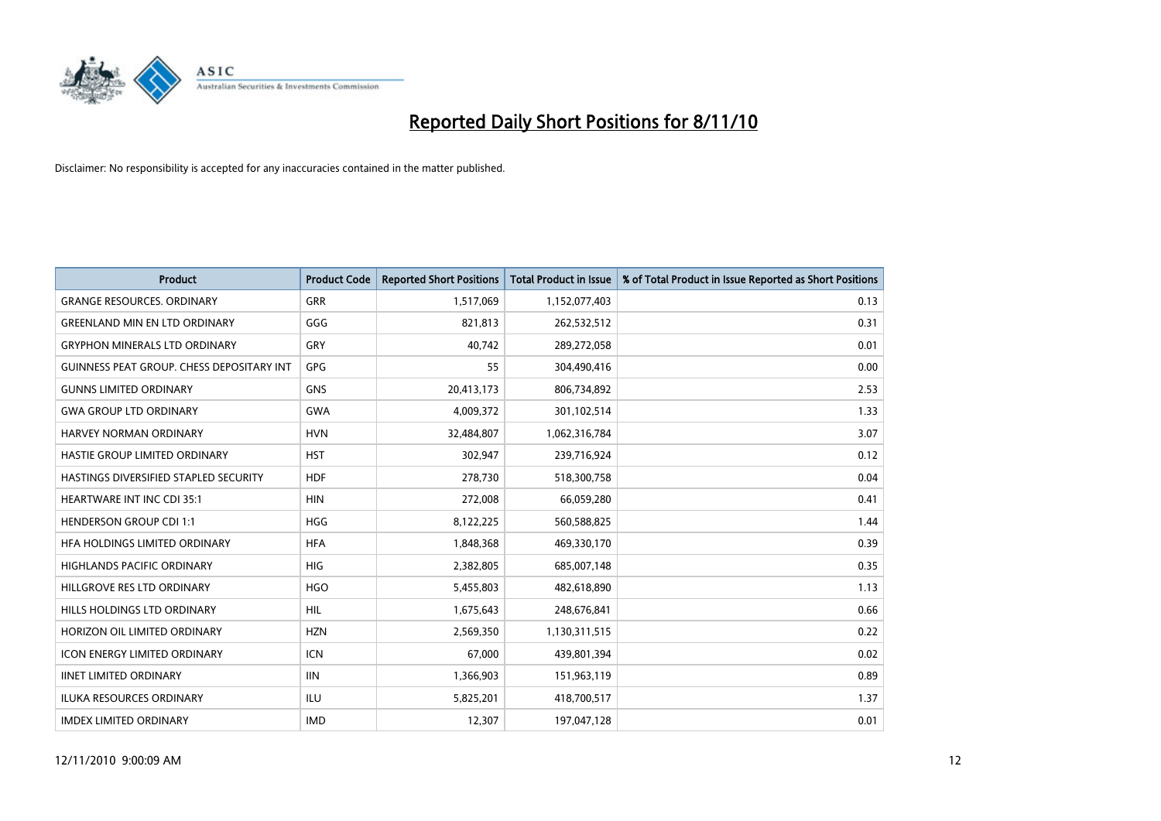

| <b>Product</b>                                   | <b>Product Code</b> | <b>Reported Short Positions</b> | <b>Total Product in Issue</b> | % of Total Product in Issue Reported as Short Positions |
|--------------------------------------------------|---------------------|---------------------------------|-------------------------------|---------------------------------------------------------|
| <b>GRANGE RESOURCES, ORDINARY</b>                | <b>GRR</b>          | 1,517,069                       | 1,152,077,403                 | 0.13                                                    |
| <b>GREENLAND MIN EN LTD ORDINARY</b>             | GGG                 | 821,813                         | 262,532,512                   | 0.31                                                    |
| <b>GRYPHON MINERALS LTD ORDINARY</b>             | GRY                 | 40.742                          | 289,272,058                   | 0.01                                                    |
| <b>GUINNESS PEAT GROUP. CHESS DEPOSITARY INT</b> | <b>GPG</b>          | 55                              | 304,490,416                   | 0.00                                                    |
| <b>GUNNS LIMITED ORDINARY</b>                    | <b>GNS</b>          | 20,413,173                      | 806,734,892                   | 2.53                                                    |
| <b>GWA GROUP LTD ORDINARY</b>                    | <b>GWA</b>          | 4,009,372                       | 301,102,514                   | 1.33                                                    |
| <b>HARVEY NORMAN ORDINARY</b>                    | <b>HVN</b>          | 32,484,807                      | 1,062,316,784                 | 3.07                                                    |
| HASTIE GROUP LIMITED ORDINARY                    | <b>HST</b>          | 302,947                         | 239,716,924                   | 0.12                                                    |
| HASTINGS DIVERSIFIED STAPLED SECURITY            | <b>HDF</b>          | 278,730                         | 518,300,758                   | 0.04                                                    |
| <b>HEARTWARE INT INC CDI 35:1</b>                | <b>HIN</b>          | 272,008                         | 66,059,280                    | 0.41                                                    |
| <b>HENDERSON GROUP CDI 1:1</b>                   | <b>HGG</b>          | 8,122,225                       | 560,588,825                   | 1.44                                                    |
| HFA HOLDINGS LIMITED ORDINARY                    | <b>HFA</b>          | 1,848,368                       | 469,330,170                   | 0.39                                                    |
| HIGHLANDS PACIFIC ORDINARY                       | <b>HIG</b>          | 2,382,805                       | 685,007,148                   | 0.35                                                    |
| HILLGROVE RES LTD ORDINARY                       | <b>HGO</b>          | 5,455,803                       | 482,618,890                   | 1.13                                                    |
| HILLS HOLDINGS LTD ORDINARY                      | <b>HIL</b>          | 1,675,643                       | 248,676,841                   | 0.66                                                    |
| HORIZON OIL LIMITED ORDINARY                     | <b>HZN</b>          | 2,569,350                       | 1,130,311,515                 | 0.22                                                    |
| ICON ENERGY LIMITED ORDINARY                     | <b>ICN</b>          | 67,000                          | 439,801,394                   | 0.02                                                    |
| <b>IINET LIMITED ORDINARY</b>                    | <b>IIN</b>          | 1,366,903                       | 151,963,119                   | 0.89                                                    |
| ILUKA RESOURCES ORDINARY                         | ILU                 | 5,825,201                       | 418,700,517                   | 1.37                                                    |
| <b>IMDEX LIMITED ORDINARY</b>                    | <b>IMD</b>          | 12,307                          | 197,047,128                   | 0.01                                                    |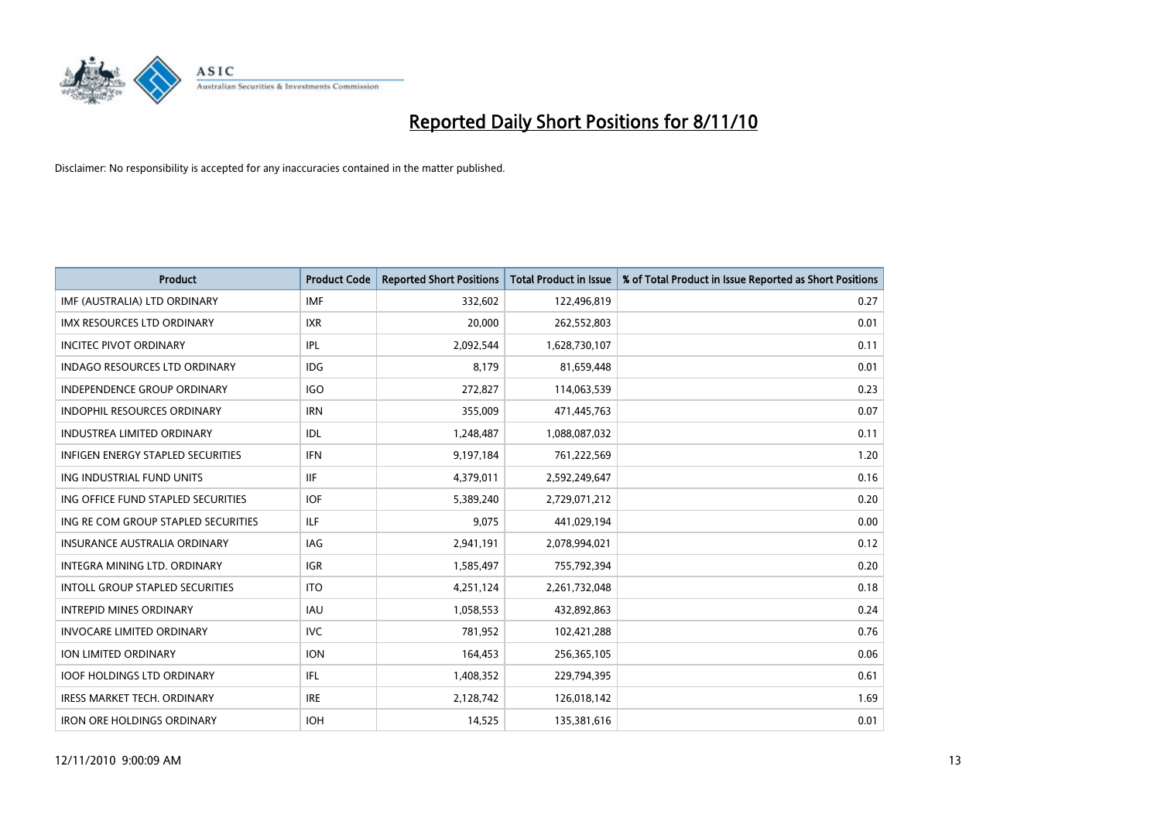

| <b>Product</b>                           | <b>Product Code</b> | <b>Reported Short Positions</b> | <b>Total Product in Issue</b> | % of Total Product in Issue Reported as Short Positions |
|------------------------------------------|---------------------|---------------------------------|-------------------------------|---------------------------------------------------------|
| IMF (AUSTRALIA) LTD ORDINARY             | <b>IMF</b>          | 332,602                         | 122,496,819                   | 0.27                                                    |
| IMX RESOURCES LTD ORDINARY               | <b>IXR</b>          | 20,000                          | 262,552,803                   | 0.01                                                    |
| <b>INCITEC PIVOT ORDINARY</b>            | IPL                 | 2,092,544                       | 1,628,730,107                 | 0.11                                                    |
| INDAGO RESOURCES LTD ORDINARY            | <b>IDG</b>          | 8,179                           | 81,659,448                    | 0.01                                                    |
| <b>INDEPENDENCE GROUP ORDINARY</b>       | <b>IGO</b>          | 272,827                         | 114,063,539                   | 0.23                                                    |
| INDOPHIL RESOURCES ORDINARY              | <b>IRN</b>          | 355,009                         | 471,445,763                   | 0.07                                                    |
| <b>INDUSTREA LIMITED ORDINARY</b>        | IDL                 | 1,248,487                       | 1,088,087,032                 | 0.11                                                    |
| <b>INFIGEN ENERGY STAPLED SECURITIES</b> | <b>IFN</b>          | 9,197,184                       | 761,222,569                   | 1.20                                                    |
| ING INDUSTRIAL FUND UNITS                | <b>IIF</b>          | 4,379,011                       | 2,592,249,647                 | 0.16                                                    |
| ING OFFICE FUND STAPLED SECURITIES       | <b>IOF</b>          | 5,389,240                       | 2,729,071,212                 | 0.20                                                    |
| ING RE COM GROUP STAPLED SECURITIES      | <b>ILF</b>          | 9,075                           | 441,029,194                   | 0.00                                                    |
| <b>INSURANCE AUSTRALIA ORDINARY</b>      | <b>IAG</b>          | 2,941,191                       | 2,078,994,021                 | 0.12                                                    |
| INTEGRA MINING LTD, ORDINARY             | <b>IGR</b>          | 1,585,497                       | 755,792,394                   | 0.20                                                    |
| INTOLL GROUP STAPLED SECURITIES          | <b>ITO</b>          | 4,251,124                       | 2,261,732,048                 | 0.18                                                    |
| <b>INTREPID MINES ORDINARY</b>           | <b>IAU</b>          | 1,058,553                       | 432,892,863                   | 0.24                                                    |
| <b>INVOCARE LIMITED ORDINARY</b>         | <b>IVC</b>          | 781,952                         | 102,421,288                   | 0.76                                                    |
| <b>ION LIMITED ORDINARY</b>              | <b>ION</b>          | 164,453                         | 256,365,105                   | 0.06                                                    |
| <b>IOOF HOLDINGS LTD ORDINARY</b>        | IFL                 | 1,408,352                       | 229,794,395                   | 0.61                                                    |
| <b>IRESS MARKET TECH. ORDINARY</b>       | <b>IRE</b>          | 2,128,742                       | 126,018,142                   | 1.69                                                    |
| <b>IRON ORE HOLDINGS ORDINARY</b>        | <b>IOH</b>          | 14,525                          | 135,381,616                   | 0.01                                                    |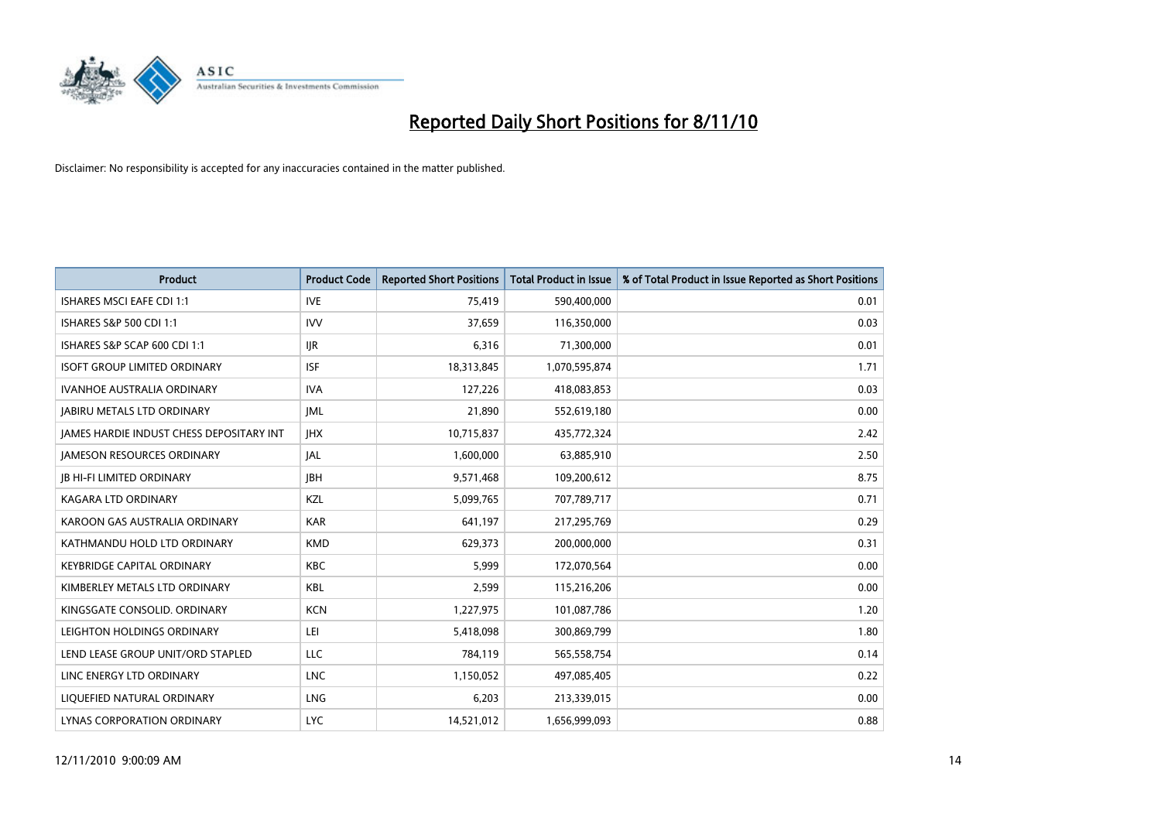

| <b>Product</b>                                  | <b>Product Code</b> | <b>Reported Short Positions</b> | Total Product in Issue | % of Total Product in Issue Reported as Short Positions |
|-------------------------------------------------|---------------------|---------------------------------|------------------------|---------------------------------------------------------|
| <b>ISHARES MSCI EAFE CDI 1:1</b>                | <b>IVE</b>          | 75,419                          | 590,400,000            | 0.01                                                    |
| ISHARES S&P 500 CDI 1:1                         | <b>IVV</b>          | 37,659                          | 116,350,000            | 0.03                                                    |
| ISHARES S&P SCAP 600 CDI 1:1                    | <b>IJR</b>          | 6,316                           | 71,300,000             | 0.01                                                    |
| <b>ISOFT GROUP LIMITED ORDINARY</b>             | <b>ISF</b>          | 18,313,845                      | 1,070,595,874          | 1.71                                                    |
| <b>IVANHOE AUSTRALIA ORDINARY</b>               | <b>IVA</b>          | 127,226                         | 418,083,853            | 0.03                                                    |
| <b>JABIRU METALS LTD ORDINARY</b>               | <b>JML</b>          | 21,890                          | 552,619,180            | 0.00                                                    |
| <b>JAMES HARDIE INDUST CHESS DEPOSITARY INT</b> | <b>IHX</b>          | 10,715,837                      | 435,772,324            | 2.42                                                    |
| <b>JAMESON RESOURCES ORDINARY</b>               | <b>JAL</b>          | 1,600,000                       | 63,885,910             | 2.50                                                    |
| <b>JB HI-FI LIMITED ORDINARY</b>                | <b>IBH</b>          | 9,571,468                       | 109,200,612            | 8.75                                                    |
| <b>KAGARA LTD ORDINARY</b>                      | KZL                 | 5,099,765                       | 707,789,717            | 0.71                                                    |
| KAROON GAS AUSTRALIA ORDINARY                   | <b>KAR</b>          | 641,197                         | 217,295,769            | 0.29                                                    |
| KATHMANDU HOLD LTD ORDINARY                     | <b>KMD</b>          | 629,373                         | 200,000,000            | 0.31                                                    |
| <b>KEYBRIDGE CAPITAL ORDINARY</b>               | <b>KBC</b>          | 5,999                           | 172,070,564            | 0.00                                                    |
| KIMBERLEY METALS LTD ORDINARY                   | <b>KBL</b>          | 2,599                           | 115,216,206            | 0.00                                                    |
| KINGSGATE CONSOLID. ORDINARY                    | <b>KCN</b>          | 1,227,975                       | 101,087,786            | 1.20                                                    |
| LEIGHTON HOLDINGS ORDINARY                      | LEI                 | 5,418,098                       | 300,869,799            | 1.80                                                    |
| LEND LEASE GROUP UNIT/ORD STAPLED               | LLC                 | 784,119                         | 565,558,754            | 0.14                                                    |
| LINC ENERGY LTD ORDINARY                        | <b>LNC</b>          | 1,150,052                       | 497,085,405            | 0.22                                                    |
| LIOUEFIED NATURAL ORDINARY                      | LNG                 | 6,203                           | 213,339,015            | 0.00                                                    |
| LYNAS CORPORATION ORDINARY                      | <b>LYC</b>          | 14,521,012                      | 1,656,999,093          | 0.88                                                    |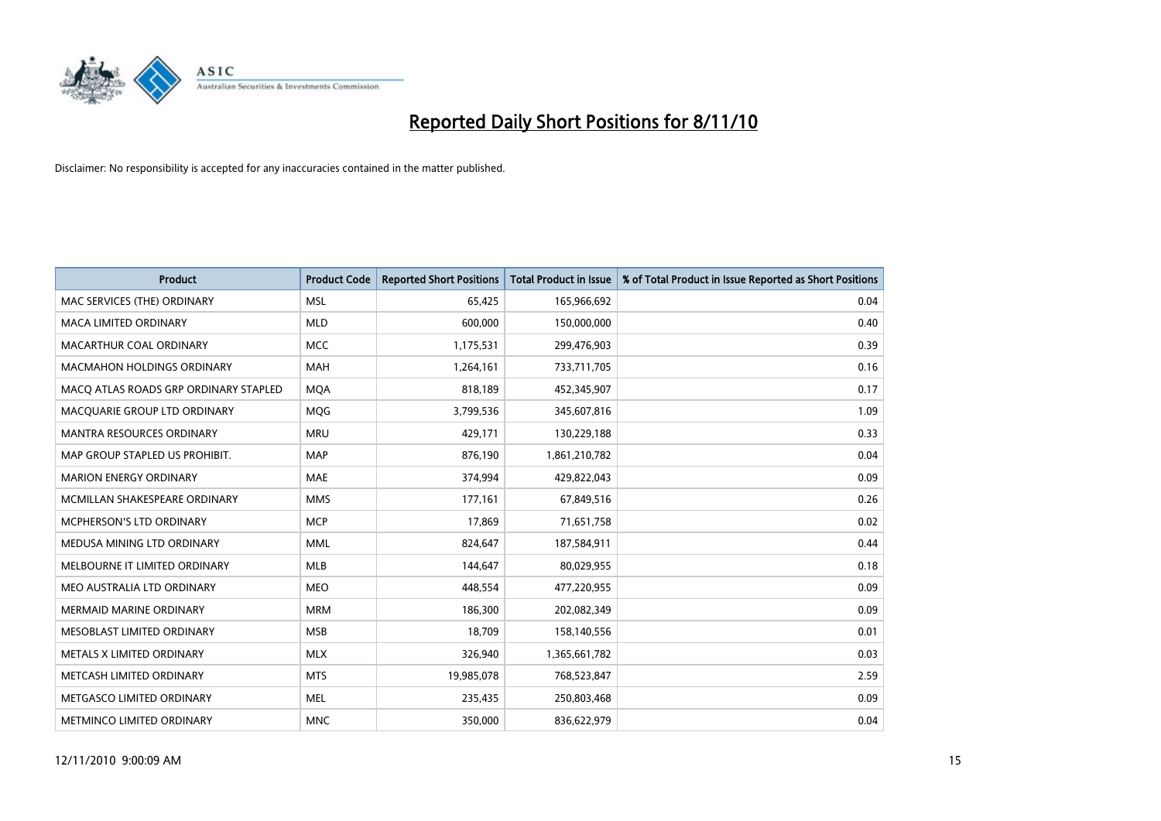

| <b>Product</b>                        | <b>Product Code</b> | <b>Reported Short Positions</b> | Total Product in Issue | % of Total Product in Issue Reported as Short Positions |
|---------------------------------------|---------------------|---------------------------------|------------------------|---------------------------------------------------------|
| MAC SERVICES (THE) ORDINARY           | <b>MSL</b>          | 65,425                          | 165,966,692            | 0.04                                                    |
| MACA LIMITED ORDINARY                 | <b>MLD</b>          | 600,000                         | 150,000,000            | 0.40                                                    |
| MACARTHUR COAL ORDINARY               | <b>MCC</b>          | 1,175,531                       | 299,476,903            | 0.39                                                    |
| MACMAHON HOLDINGS ORDINARY            | <b>MAH</b>          | 1,264,161                       | 733,711,705            | 0.16                                                    |
| MACO ATLAS ROADS GRP ORDINARY STAPLED | <b>MOA</b>          | 818,189                         | 452,345,907            | 0.17                                                    |
| MACQUARIE GROUP LTD ORDINARY          | <b>MOG</b>          | 3,799,536                       | 345,607,816            | 1.09                                                    |
| <b>MANTRA RESOURCES ORDINARY</b>      | <b>MRU</b>          | 429,171                         | 130,229,188            | 0.33                                                    |
| MAP GROUP STAPLED US PROHIBIT.        | <b>MAP</b>          | 876,190                         | 1,861,210,782          | 0.04                                                    |
| <b>MARION ENERGY ORDINARY</b>         | <b>MAE</b>          | 374,994                         | 429,822,043            | 0.09                                                    |
| MCMILLAN SHAKESPEARE ORDINARY         | <b>MMS</b>          | 177,161                         | 67,849,516             | 0.26                                                    |
| MCPHERSON'S LTD ORDINARY              | <b>MCP</b>          | 17,869                          | 71,651,758             | 0.02                                                    |
| MEDUSA MINING LTD ORDINARY            | <b>MML</b>          | 824,647                         | 187,584,911            | 0.44                                                    |
| MELBOURNE IT LIMITED ORDINARY         | MLB                 | 144,647                         | 80,029,955             | 0.18                                                    |
| MEO AUSTRALIA LTD ORDINARY            | <b>MEO</b>          | 448,554                         | 477,220,955            | 0.09                                                    |
| <b>MERMAID MARINE ORDINARY</b>        | <b>MRM</b>          | 186,300                         | 202,082,349            | 0.09                                                    |
| MESOBLAST LIMITED ORDINARY            | <b>MSB</b>          | 18,709                          | 158,140,556            | 0.01                                                    |
| METALS X LIMITED ORDINARY             | <b>MLX</b>          | 326,940                         | 1,365,661,782          | 0.03                                                    |
| METCASH LIMITED ORDINARY              | <b>MTS</b>          | 19,985,078                      | 768,523,847            | 2.59                                                    |
| METGASCO LIMITED ORDINARY             | <b>MEL</b>          | 235,435                         | 250,803,468            | 0.09                                                    |
| METMINCO LIMITED ORDINARY             | <b>MNC</b>          | 350,000                         | 836,622,979            | 0.04                                                    |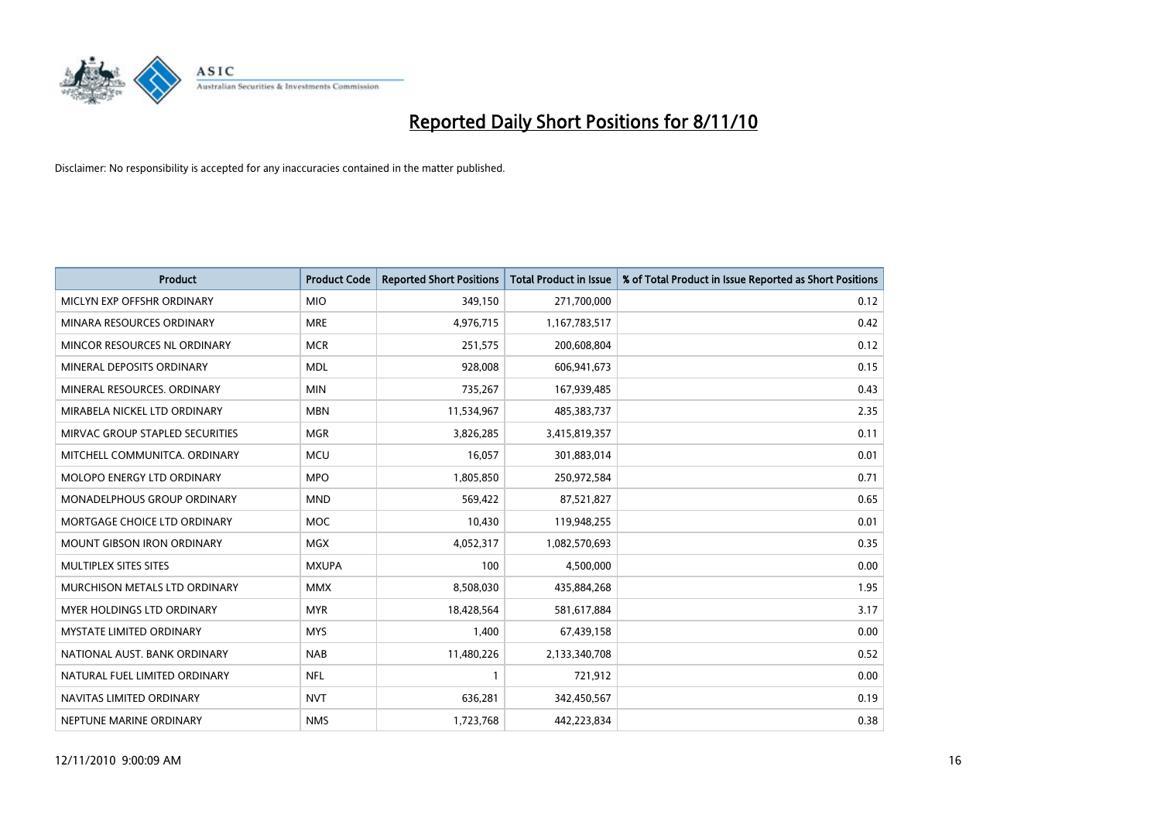

| <b>Product</b>                    | <b>Product Code</b> | <b>Reported Short Positions</b> | Total Product in Issue | % of Total Product in Issue Reported as Short Positions |
|-----------------------------------|---------------------|---------------------------------|------------------------|---------------------------------------------------------|
| MICLYN EXP OFFSHR ORDINARY        | <b>MIO</b>          | 349,150                         | 271,700,000            | 0.12                                                    |
| MINARA RESOURCES ORDINARY         | <b>MRE</b>          | 4,976,715                       | 1,167,783,517          | 0.42                                                    |
| MINCOR RESOURCES NL ORDINARY      | <b>MCR</b>          | 251,575                         | 200,608,804            | 0.12                                                    |
| MINERAL DEPOSITS ORDINARY         | <b>MDL</b>          | 928,008                         | 606,941,673            | 0.15                                                    |
| MINERAL RESOURCES, ORDINARY       | <b>MIN</b>          | 735,267                         | 167,939,485            | 0.43                                                    |
| MIRABELA NICKEL LTD ORDINARY      | <b>MBN</b>          | 11,534,967                      | 485,383,737            | 2.35                                                    |
| MIRVAC GROUP STAPLED SECURITIES   | <b>MGR</b>          | 3,826,285                       | 3,415,819,357          | 0.11                                                    |
| MITCHELL COMMUNITCA. ORDINARY     | <b>MCU</b>          | 16,057                          | 301,883,014            | 0.01                                                    |
| MOLOPO ENERGY LTD ORDINARY        | <b>MPO</b>          | 1,805,850                       | 250,972,584            | 0.71                                                    |
| MONADELPHOUS GROUP ORDINARY       | <b>MND</b>          | 569,422                         | 87,521,827             | 0.65                                                    |
| MORTGAGE CHOICE LTD ORDINARY      | <b>MOC</b>          | 10,430                          | 119,948,255            | 0.01                                                    |
| <b>MOUNT GIBSON IRON ORDINARY</b> | <b>MGX</b>          | 4,052,317                       | 1,082,570,693          | 0.35                                                    |
| MULTIPLEX SITES SITES             | <b>MXUPA</b>        | 100                             | 4,500,000              | 0.00                                                    |
| MURCHISON METALS LTD ORDINARY     | <b>MMX</b>          | 8,508,030                       | 435,884,268            | 1.95                                                    |
| MYER HOLDINGS LTD ORDINARY        | <b>MYR</b>          | 18,428,564                      | 581,617,884            | 3.17                                                    |
| MYSTATE LIMITED ORDINARY          | <b>MYS</b>          | 1,400                           | 67,439,158             | 0.00                                                    |
| NATIONAL AUST. BANK ORDINARY      | <b>NAB</b>          | 11,480,226                      | 2,133,340,708          | 0.52                                                    |
| NATURAL FUEL LIMITED ORDINARY     | <b>NFL</b>          |                                 | 721,912                | 0.00                                                    |
| NAVITAS LIMITED ORDINARY          | <b>NVT</b>          | 636,281                         | 342,450,567            | 0.19                                                    |
| NEPTUNE MARINE ORDINARY           | <b>NMS</b>          | 1,723,768                       | 442,223,834            | 0.38                                                    |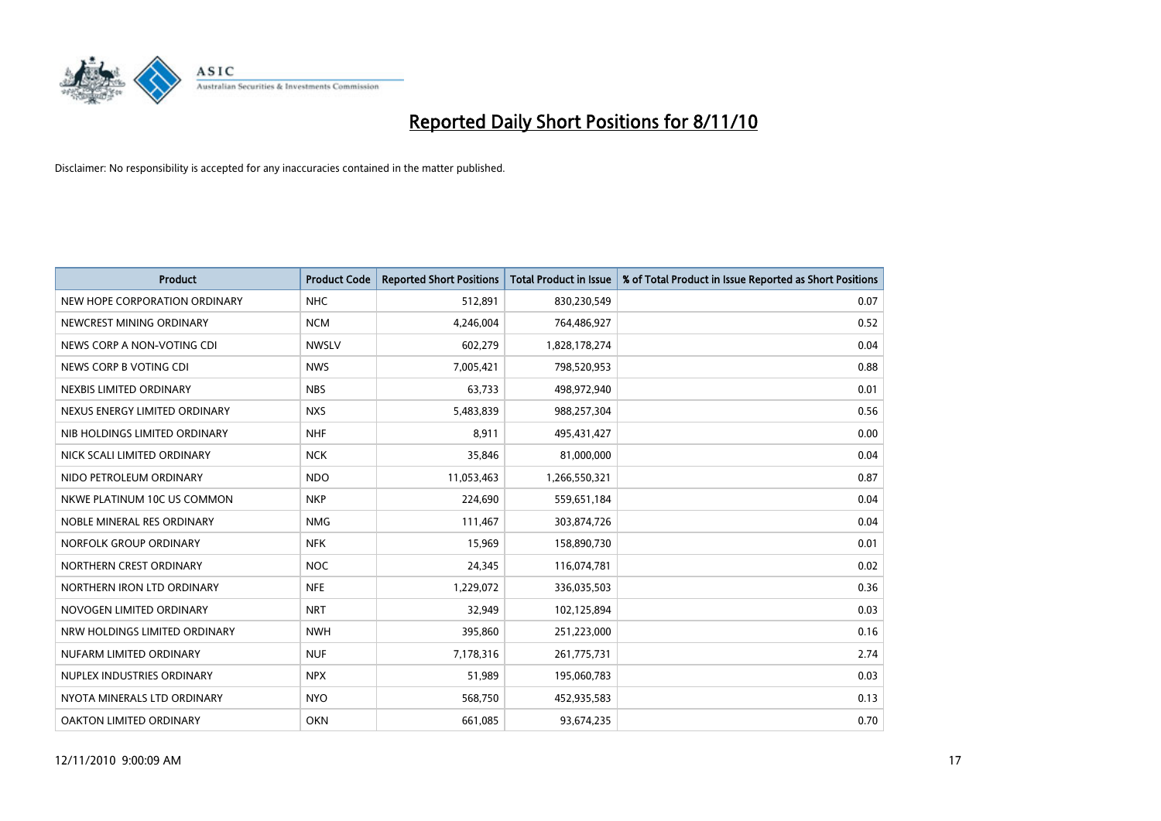

| <b>Product</b>                | <b>Product Code</b> | <b>Reported Short Positions</b> | <b>Total Product in Issue</b> | % of Total Product in Issue Reported as Short Positions |
|-------------------------------|---------------------|---------------------------------|-------------------------------|---------------------------------------------------------|
| NEW HOPE CORPORATION ORDINARY | <b>NHC</b>          | 512,891                         | 830,230,549                   | 0.07                                                    |
| NEWCREST MINING ORDINARY      | <b>NCM</b>          | 4,246,004                       | 764,486,927                   | 0.52                                                    |
| NEWS CORP A NON-VOTING CDI    | <b>NWSLV</b>        | 602,279                         | 1,828,178,274                 | 0.04                                                    |
| NEWS CORP B VOTING CDI        | <b>NWS</b>          | 7,005,421                       | 798,520,953                   | 0.88                                                    |
| NEXBIS LIMITED ORDINARY       | <b>NBS</b>          | 63,733                          | 498,972,940                   | 0.01                                                    |
| NEXUS ENERGY LIMITED ORDINARY | <b>NXS</b>          | 5,483,839                       | 988,257,304                   | 0.56                                                    |
| NIB HOLDINGS LIMITED ORDINARY | <b>NHF</b>          | 8,911                           | 495,431,427                   | 0.00                                                    |
| NICK SCALI LIMITED ORDINARY   | <b>NCK</b>          | 35,846                          | 81,000,000                    | 0.04                                                    |
| NIDO PETROLEUM ORDINARY       | <b>NDO</b>          | 11,053,463                      | 1,266,550,321                 | 0.87                                                    |
| NKWE PLATINUM 10C US COMMON   | <b>NKP</b>          | 224,690                         | 559,651,184                   | 0.04                                                    |
| NOBLE MINERAL RES ORDINARY    | <b>NMG</b>          | 111,467                         | 303,874,726                   | 0.04                                                    |
| NORFOLK GROUP ORDINARY        | <b>NFK</b>          | 15,969                          | 158,890,730                   | 0.01                                                    |
| NORTHERN CREST ORDINARY       | <b>NOC</b>          | 24,345                          | 116,074,781                   | 0.02                                                    |
| NORTHERN IRON LTD ORDINARY    | <b>NFE</b>          | 1,229,072                       | 336,035,503                   | 0.36                                                    |
| NOVOGEN LIMITED ORDINARY      | <b>NRT</b>          | 32,949                          | 102,125,894                   | 0.03                                                    |
| NRW HOLDINGS LIMITED ORDINARY | <b>NWH</b>          | 395,860                         | 251,223,000                   | 0.16                                                    |
| NUFARM LIMITED ORDINARY       | <b>NUF</b>          | 7,178,316                       | 261,775,731                   | 2.74                                                    |
| NUPLEX INDUSTRIES ORDINARY    | <b>NPX</b>          | 51,989                          | 195,060,783                   | 0.03                                                    |
| NYOTA MINERALS LTD ORDINARY   | <b>NYO</b>          | 568,750                         | 452,935,583                   | 0.13                                                    |
| OAKTON LIMITED ORDINARY       | <b>OKN</b>          | 661,085                         | 93,674,235                    | 0.70                                                    |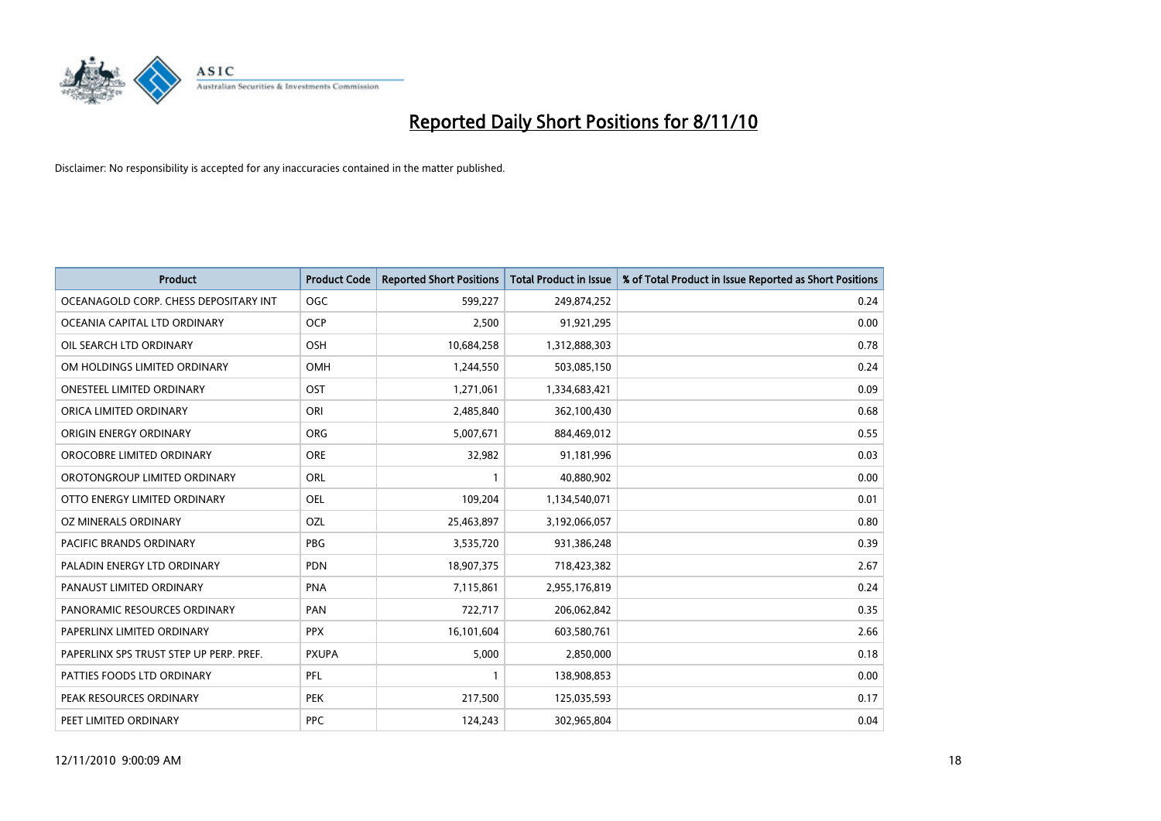

| <b>Product</b>                          | <b>Product Code</b> | <b>Reported Short Positions</b> | <b>Total Product in Issue</b> | % of Total Product in Issue Reported as Short Positions |
|-----------------------------------------|---------------------|---------------------------------|-------------------------------|---------------------------------------------------------|
| OCEANAGOLD CORP. CHESS DEPOSITARY INT   | <b>OGC</b>          | 599,227                         | 249,874,252                   | 0.24                                                    |
| OCEANIA CAPITAL LTD ORDINARY            | <b>OCP</b>          | 2,500                           | 91,921,295                    | 0.00                                                    |
| OIL SEARCH LTD ORDINARY                 | OSH                 | 10,684,258                      | 1,312,888,303                 | 0.78                                                    |
| OM HOLDINGS LIMITED ORDINARY            | <b>OMH</b>          | 1,244,550                       | 503,085,150                   | 0.24                                                    |
| <b>ONESTEEL LIMITED ORDINARY</b>        | OST                 | 1,271,061                       | 1,334,683,421                 | 0.09                                                    |
| ORICA LIMITED ORDINARY                  | ORI                 | 2,485,840                       | 362,100,430                   | 0.68                                                    |
| ORIGIN ENERGY ORDINARY                  | <b>ORG</b>          | 5,007,671                       | 884,469,012                   | 0.55                                                    |
| OROCOBRE LIMITED ORDINARY               | <b>ORE</b>          | 32,982                          | 91,181,996                    | 0.03                                                    |
| OROTONGROUP LIMITED ORDINARY            | ORL                 |                                 | 40,880,902                    | 0.00                                                    |
| OTTO ENERGY LIMITED ORDINARY            | <b>OEL</b>          | 109,204                         | 1,134,540,071                 | 0.01                                                    |
| OZ MINERALS ORDINARY                    | OZL                 | 25,463,897                      | 3,192,066,057                 | 0.80                                                    |
| PACIFIC BRANDS ORDINARY                 | <b>PBG</b>          | 3,535,720                       | 931,386,248                   | 0.39                                                    |
| PALADIN ENERGY LTD ORDINARY             | <b>PDN</b>          | 18,907,375                      | 718,423,382                   | 2.67                                                    |
| PANAUST LIMITED ORDINARY                | <b>PNA</b>          | 7,115,861                       | 2,955,176,819                 | 0.24                                                    |
| PANORAMIC RESOURCES ORDINARY            | PAN                 | 722,717                         | 206,062,842                   | 0.35                                                    |
| PAPERLINX LIMITED ORDINARY              | <b>PPX</b>          | 16,101,604                      | 603,580,761                   | 2.66                                                    |
| PAPERLINX SPS TRUST STEP UP PERP. PREF. | <b>PXUPA</b>        | 5,000                           | 2,850,000                     | 0.18                                                    |
| PATTIES FOODS LTD ORDINARY              | PFL                 |                                 | 138,908,853                   | 0.00                                                    |
| PEAK RESOURCES ORDINARY                 | <b>PEK</b>          | 217,500                         | 125,035,593                   | 0.17                                                    |
| PEET LIMITED ORDINARY                   | <b>PPC</b>          | 124,243                         | 302,965,804                   | 0.04                                                    |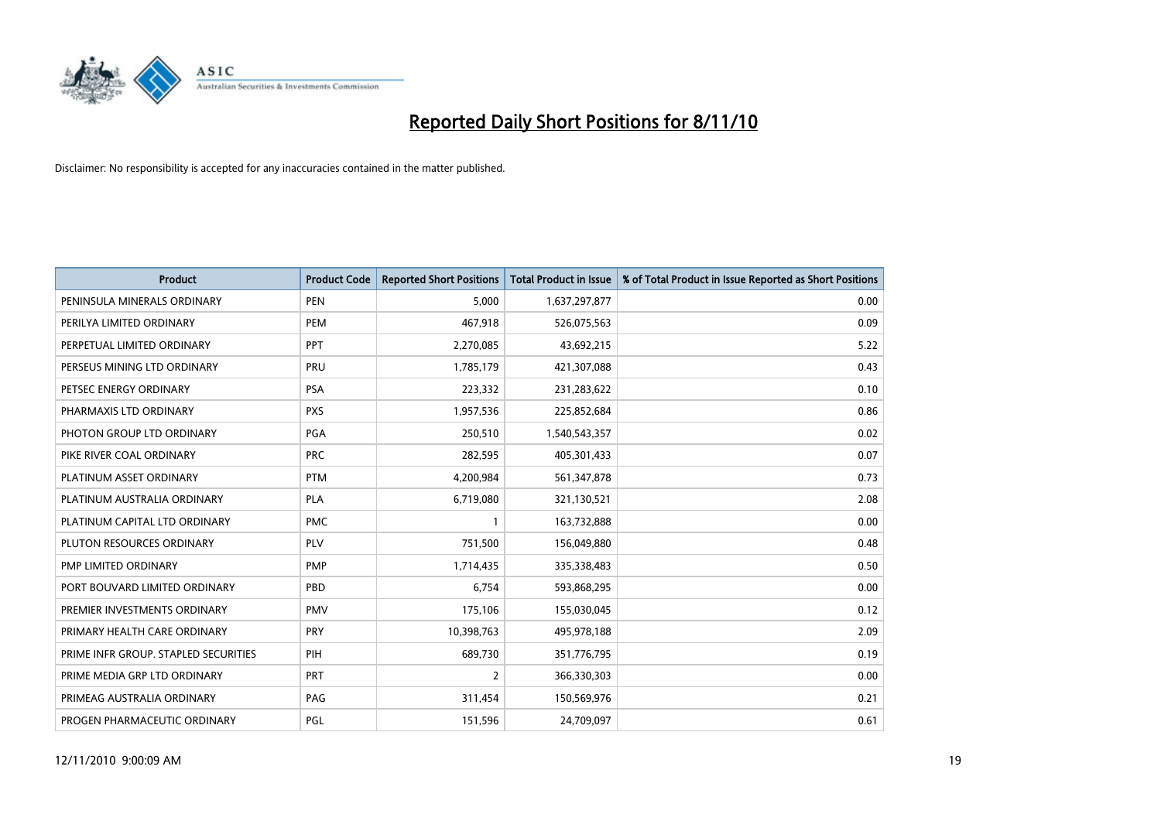

| <b>Product</b>                       | <b>Product Code</b> | <b>Reported Short Positions</b> | <b>Total Product in Issue</b> | % of Total Product in Issue Reported as Short Positions |
|--------------------------------------|---------------------|---------------------------------|-------------------------------|---------------------------------------------------------|
| PENINSULA MINERALS ORDINARY          | <b>PEN</b>          | 5,000                           | 1,637,297,877                 | 0.00                                                    |
| PERILYA LIMITED ORDINARY             | PEM                 | 467,918                         | 526,075,563                   | 0.09                                                    |
| PERPETUAL LIMITED ORDINARY           | PPT                 | 2,270,085                       | 43,692,215                    | 5.22                                                    |
| PERSEUS MINING LTD ORDINARY          | PRU                 | 1,785,179                       | 421,307,088                   | 0.43                                                    |
| PETSEC ENERGY ORDINARY               | <b>PSA</b>          | 223,332                         | 231,283,622                   | 0.10                                                    |
| PHARMAXIS LTD ORDINARY               | <b>PXS</b>          | 1,957,536                       | 225,852,684                   | 0.86                                                    |
| PHOTON GROUP LTD ORDINARY            | <b>PGA</b>          | 250,510                         | 1,540,543,357                 | 0.02                                                    |
| PIKE RIVER COAL ORDINARY             | <b>PRC</b>          | 282,595                         | 405,301,433                   | 0.07                                                    |
| PLATINUM ASSET ORDINARY              | <b>PTM</b>          | 4,200,984                       | 561,347,878                   | 0.73                                                    |
| PLATINUM AUSTRALIA ORDINARY          | <b>PLA</b>          | 6,719,080                       | 321,130,521                   | 2.08                                                    |
| PLATINUM CAPITAL LTD ORDINARY        | <b>PMC</b>          |                                 | 163,732,888                   | 0.00                                                    |
| PLUTON RESOURCES ORDINARY            | <b>PLV</b>          | 751,500                         | 156,049,880                   | 0.48                                                    |
| <b>PMP LIMITED ORDINARY</b>          | <b>PMP</b>          | 1,714,435                       | 335,338,483                   | 0.50                                                    |
| PORT BOUVARD LIMITED ORDINARY        | PBD                 | 6,754                           | 593,868,295                   | 0.00                                                    |
| PREMIER INVESTMENTS ORDINARY         | <b>PMV</b>          | 175,106                         | 155,030,045                   | 0.12                                                    |
| PRIMARY HEALTH CARE ORDINARY         | <b>PRY</b>          | 10,398,763                      | 495,978,188                   | 2.09                                                    |
| PRIME INFR GROUP. STAPLED SECURITIES | PIH                 | 689,730                         | 351,776,795                   | 0.19                                                    |
| PRIME MEDIA GRP LTD ORDINARY         | <b>PRT</b>          | 2                               | 366,330,303                   | 0.00                                                    |
| PRIMEAG AUSTRALIA ORDINARY           | PAG                 | 311,454                         | 150,569,976                   | 0.21                                                    |
| PROGEN PHARMACEUTIC ORDINARY         | PGL                 | 151,596                         | 24,709,097                    | 0.61                                                    |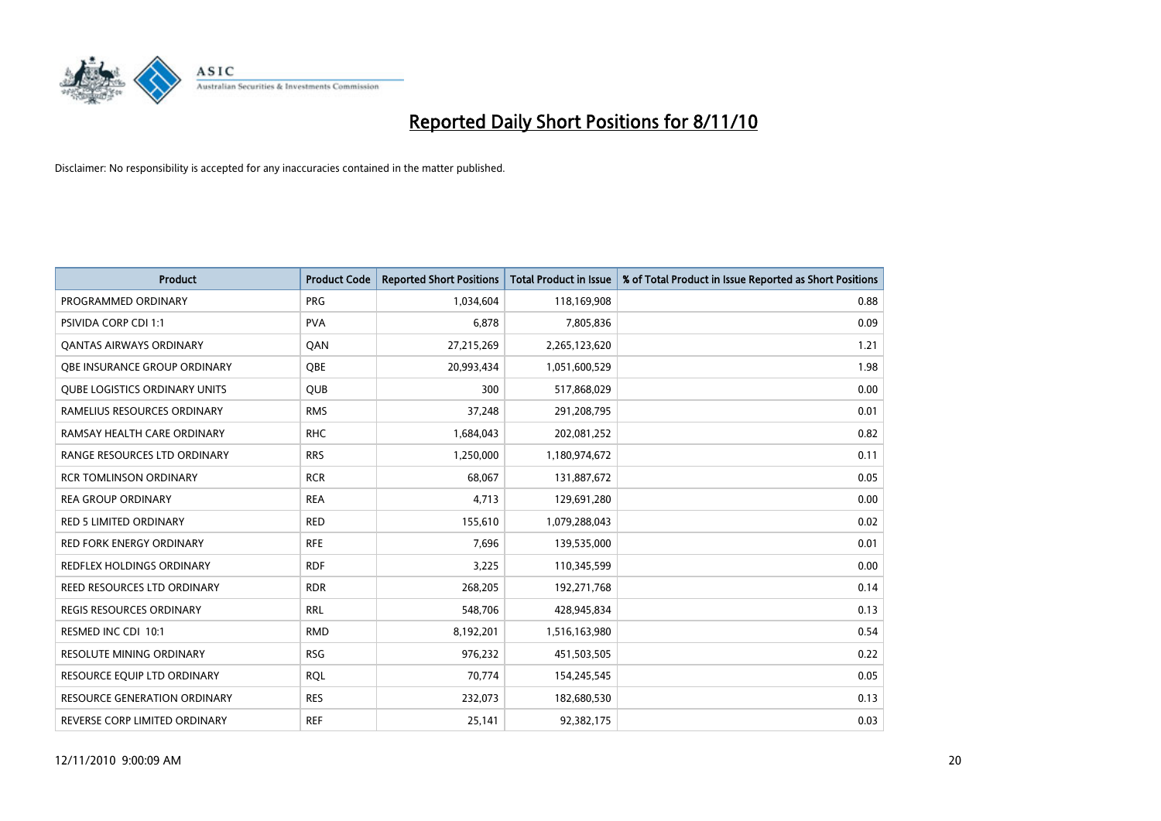

| <b>Product</b>                       | <b>Product Code</b> | <b>Reported Short Positions</b> | <b>Total Product in Issue</b> | % of Total Product in Issue Reported as Short Positions |
|--------------------------------------|---------------------|---------------------------------|-------------------------------|---------------------------------------------------------|
| PROGRAMMED ORDINARY                  | <b>PRG</b>          | 1,034,604                       | 118,169,908                   | 0.88                                                    |
| <b>PSIVIDA CORP CDI 1:1</b>          | <b>PVA</b>          | 6,878                           | 7,805,836                     | 0.09                                                    |
| <b>QANTAS AIRWAYS ORDINARY</b>       | QAN                 | 27,215,269                      | 2,265,123,620                 | 1.21                                                    |
| OBE INSURANCE GROUP ORDINARY         | OBE                 | 20,993,434                      | 1,051,600,529                 | 1.98                                                    |
| <b>QUBE LOGISTICS ORDINARY UNITS</b> | <b>QUB</b>          | 300                             | 517,868,029                   | 0.00                                                    |
| RAMELIUS RESOURCES ORDINARY          | <b>RMS</b>          | 37,248                          | 291,208,795                   | 0.01                                                    |
| RAMSAY HEALTH CARE ORDINARY          | <b>RHC</b>          | 1,684,043                       | 202,081,252                   | 0.82                                                    |
| RANGE RESOURCES LTD ORDINARY         | <b>RRS</b>          | 1,250,000                       | 1,180,974,672                 | 0.11                                                    |
| <b>RCR TOMLINSON ORDINARY</b>        | <b>RCR</b>          | 68,067                          | 131,887,672                   | 0.05                                                    |
| <b>REA GROUP ORDINARY</b>            | <b>REA</b>          | 4,713                           | 129,691,280                   | 0.00                                                    |
| <b>RED 5 LIMITED ORDINARY</b>        | <b>RED</b>          | 155,610                         | 1,079,288,043                 | 0.02                                                    |
| <b>RED FORK ENERGY ORDINARY</b>      | <b>RFE</b>          | 7,696                           | 139,535,000                   | 0.01                                                    |
| REDFLEX HOLDINGS ORDINARY            | <b>RDF</b>          | 3,225                           | 110,345,599                   | 0.00                                                    |
| REED RESOURCES LTD ORDINARY          | <b>RDR</b>          | 268,205                         | 192,271,768                   | 0.14                                                    |
| <b>REGIS RESOURCES ORDINARY</b>      | <b>RRL</b>          | 548,706                         | 428,945,834                   | 0.13                                                    |
| RESMED INC CDI 10:1                  | <b>RMD</b>          | 8,192,201                       | 1,516,163,980                 | 0.54                                                    |
| RESOLUTE MINING ORDINARY             | <b>RSG</b>          | 976,232                         | 451,503,505                   | 0.22                                                    |
| RESOURCE EQUIP LTD ORDINARY          | <b>RQL</b>          | 70,774                          | 154,245,545                   | 0.05                                                    |
| RESOURCE GENERATION ORDINARY         | <b>RES</b>          | 232,073                         | 182,680,530                   | 0.13                                                    |
| REVERSE CORP LIMITED ORDINARY        | <b>REF</b>          | 25,141                          | 92,382,175                    | 0.03                                                    |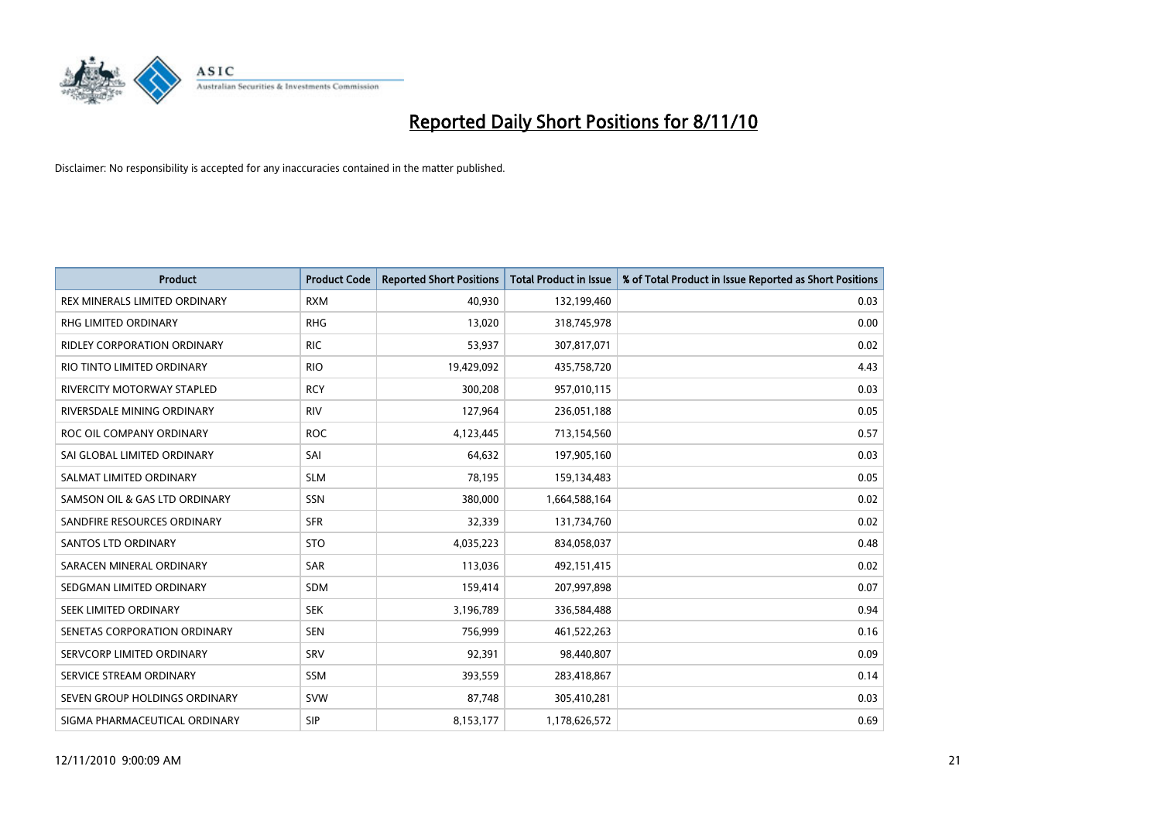

| <b>Product</b>                       | <b>Product Code</b> | <b>Reported Short Positions</b> | Total Product in Issue | % of Total Product in Issue Reported as Short Positions |
|--------------------------------------|---------------------|---------------------------------|------------------------|---------------------------------------------------------|
| <b>REX MINERALS LIMITED ORDINARY</b> | <b>RXM</b>          | 40,930                          | 132,199,460            | 0.03                                                    |
| RHG LIMITED ORDINARY                 | <b>RHG</b>          | 13,020                          | 318,745,978            | 0.00                                                    |
| <b>RIDLEY CORPORATION ORDINARY</b>   | <b>RIC</b>          | 53,937                          | 307,817,071            | 0.02                                                    |
| RIO TINTO LIMITED ORDINARY           | <b>RIO</b>          | 19,429,092                      | 435,758,720            | 4.43                                                    |
| RIVERCITY MOTORWAY STAPLED           | <b>RCY</b>          | 300,208                         | 957,010,115            | 0.03                                                    |
| RIVERSDALE MINING ORDINARY           | <b>RIV</b>          | 127,964                         | 236,051,188            | 0.05                                                    |
| ROC OIL COMPANY ORDINARY             | <b>ROC</b>          | 4,123,445                       | 713,154,560            | 0.57                                                    |
| SAI GLOBAL LIMITED ORDINARY          | SAI                 | 64,632                          | 197,905,160            | 0.03                                                    |
| SALMAT LIMITED ORDINARY              | <b>SLM</b>          | 78,195                          | 159,134,483            | 0.05                                                    |
| SAMSON OIL & GAS LTD ORDINARY        | SSN                 | 380,000                         | 1,664,588,164          | 0.02                                                    |
| SANDFIRE RESOURCES ORDINARY          | <b>SFR</b>          | 32,339                          | 131,734,760            | 0.02                                                    |
| <b>SANTOS LTD ORDINARY</b>           | <b>STO</b>          | 4,035,223                       | 834,058,037            | 0.48                                                    |
| SARACEN MINERAL ORDINARY             | <b>SAR</b>          | 113,036                         | 492,151,415            | 0.02                                                    |
| SEDGMAN LIMITED ORDINARY             | <b>SDM</b>          | 159,414                         | 207,997,898            | 0.07                                                    |
| SEEK LIMITED ORDINARY                | <b>SEK</b>          | 3,196,789                       | 336,584,488            | 0.94                                                    |
| SENETAS CORPORATION ORDINARY         | <b>SEN</b>          | 756,999                         | 461,522,263            | 0.16                                                    |
| SERVCORP LIMITED ORDINARY            | SRV                 | 92,391                          | 98,440,807             | 0.09                                                    |
| SERVICE STREAM ORDINARY              | <b>SSM</b>          | 393,559                         | 283,418,867            | 0.14                                                    |
| SEVEN GROUP HOLDINGS ORDINARY        | <b>SVW</b>          | 87,748                          | 305,410,281            | 0.03                                                    |
| SIGMA PHARMACEUTICAL ORDINARY        | SIP                 | 8,153,177                       | 1,178,626,572          | 0.69                                                    |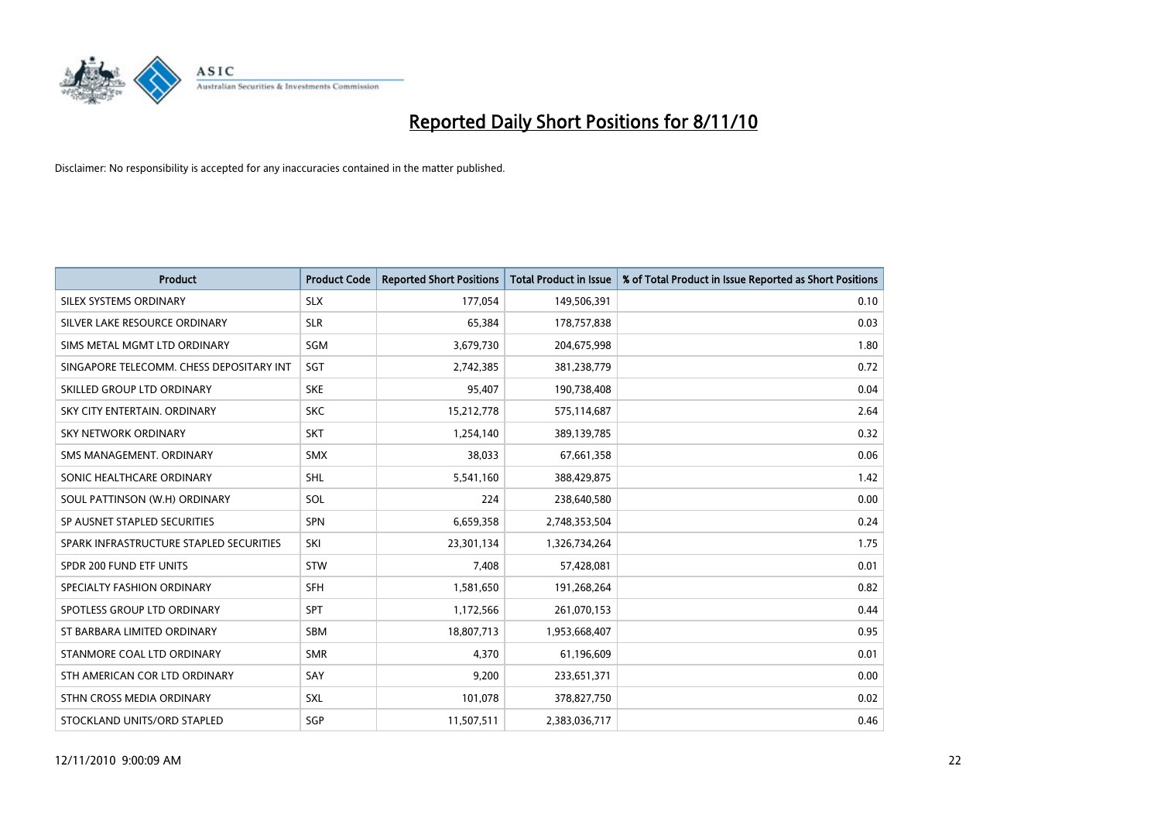

| <b>Product</b>                           | <b>Product Code</b> | <b>Reported Short Positions</b> | <b>Total Product in Issue</b> | % of Total Product in Issue Reported as Short Positions |
|------------------------------------------|---------------------|---------------------------------|-------------------------------|---------------------------------------------------------|
| SILEX SYSTEMS ORDINARY                   | <b>SLX</b>          | 177,054                         | 149,506,391                   | 0.10                                                    |
| SILVER LAKE RESOURCE ORDINARY            | <b>SLR</b>          | 65,384                          | 178,757,838                   | 0.03                                                    |
| SIMS METAL MGMT LTD ORDINARY             | SGM                 | 3,679,730                       | 204,675,998                   | 1.80                                                    |
| SINGAPORE TELECOMM. CHESS DEPOSITARY INT | SGT                 | 2,742,385                       | 381,238,779                   | 0.72                                                    |
| SKILLED GROUP LTD ORDINARY               | <b>SKE</b>          | 95,407                          | 190,738,408                   | 0.04                                                    |
| SKY CITY ENTERTAIN, ORDINARY             | <b>SKC</b>          | 15,212,778                      | 575,114,687                   | 2.64                                                    |
| SKY NETWORK ORDINARY                     | SKT                 | 1,254,140                       | 389,139,785                   | 0.32                                                    |
| SMS MANAGEMENT, ORDINARY                 | <b>SMX</b>          | 38.033                          | 67,661,358                    | 0.06                                                    |
| SONIC HEALTHCARE ORDINARY                | <b>SHL</b>          | 5,541,160                       | 388,429,875                   | 1.42                                                    |
| SOUL PATTINSON (W.H) ORDINARY            | SOL                 | 224                             | 238,640,580                   | 0.00                                                    |
| SP AUSNET STAPLED SECURITIES             | SPN                 | 6,659,358                       | 2,748,353,504                 | 0.24                                                    |
| SPARK INFRASTRUCTURE STAPLED SECURITIES  | SKI                 | 23,301,134                      | 1,326,734,264                 | 1.75                                                    |
| SPDR 200 FUND ETF UNITS                  | STW                 | 7,408                           | 57,428,081                    | 0.01                                                    |
| SPECIALTY FASHION ORDINARY               | <b>SFH</b>          | 1,581,650                       | 191,268,264                   | 0.82                                                    |
| SPOTLESS GROUP LTD ORDINARY              | <b>SPT</b>          | 1,172,566                       | 261,070,153                   | 0.44                                                    |
| ST BARBARA LIMITED ORDINARY              | <b>SBM</b>          | 18,807,713                      | 1,953,668,407                 | 0.95                                                    |
| STANMORE COAL LTD ORDINARY               | <b>SMR</b>          | 4,370                           | 61,196,609                    | 0.01                                                    |
| STH AMERICAN COR LTD ORDINARY            | SAY                 | 9,200                           | 233,651,371                   | 0.00                                                    |
| STHN CROSS MEDIA ORDINARY                | SXL                 | 101,078                         | 378,827,750                   | 0.02                                                    |
| STOCKLAND UNITS/ORD STAPLED              | SGP                 | 11,507,511                      | 2,383,036,717                 | 0.46                                                    |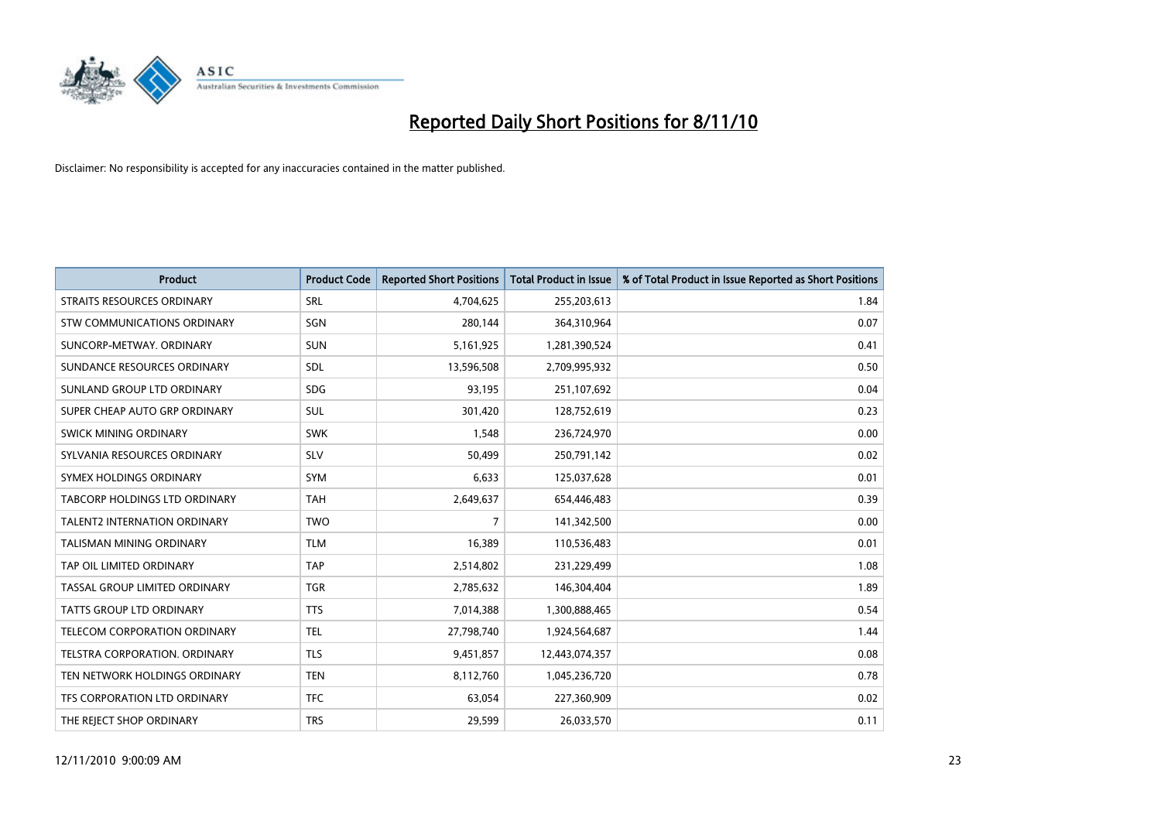

| <b>Product</b>                      | <b>Product Code</b> | <b>Reported Short Positions</b> | Total Product in Issue | % of Total Product in Issue Reported as Short Positions |
|-------------------------------------|---------------------|---------------------------------|------------------------|---------------------------------------------------------|
| <b>STRAITS RESOURCES ORDINARY</b>   | SRL                 | 4,704,625                       | 255,203,613            | 1.84                                                    |
| STW COMMUNICATIONS ORDINARY         | SGN                 | 280,144                         | 364,310,964            | 0.07                                                    |
| SUNCORP-METWAY, ORDINARY            | <b>SUN</b>          | 5,161,925                       | 1,281,390,524          | 0.41                                                    |
| SUNDANCE RESOURCES ORDINARY         | <b>SDL</b>          | 13,596,508                      | 2,709,995,932          | 0.50                                                    |
| SUNLAND GROUP LTD ORDINARY          | <b>SDG</b>          | 93,195                          | 251,107,692            | 0.04                                                    |
| SUPER CHEAP AUTO GRP ORDINARY       | <b>SUL</b>          | 301,420                         | 128,752,619            | 0.23                                                    |
| <b>SWICK MINING ORDINARY</b>        | <b>SWK</b>          | 1,548                           | 236,724,970            | 0.00                                                    |
| SYLVANIA RESOURCES ORDINARY         | <b>SLV</b>          | 50,499                          | 250,791,142            | 0.02                                                    |
| SYMEX HOLDINGS ORDINARY             | <b>SYM</b>          | 6,633                           | 125,037,628            | 0.01                                                    |
| TABCORP HOLDINGS LTD ORDINARY       | <b>TAH</b>          | 2,649,637                       | 654,446,483            | 0.39                                                    |
| <b>TALENT2 INTERNATION ORDINARY</b> | <b>TWO</b>          | 7                               | 141,342,500            | 0.00                                                    |
| <b>TALISMAN MINING ORDINARY</b>     | <b>TLM</b>          | 16,389                          | 110,536,483            | 0.01                                                    |
| TAP OIL LIMITED ORDINARY            | <b>TAP</b>          | 2,514,802                       | 231,229,499            | 1.08                                                    |
| TASSAL GROUP LIMITED ORDINARY       | <b>TGR</b>          | 2,785,632                       | 146,304,404            | 1.89                                                    |
| TATTS GROUP LTD ORDINARY            | <b>TTS</b>          | 7,014,388                       | 1,300,888,465          | 0.54                                                    |
| TELECOM CORPORATION ORDINARY        | <b>TEL</b>          | 27,798,740                      | 1,924,564,687          | 1.44                                                    |
| TELSTRA CORPORATION, ORDINARY       | <b>TLS</b>          | 9,451,857                       | 12,443,074,357         | 0.08                                                    |
| TEN NETWORK HOLDINGS ORDINARY       | <b>TEN</b>          | 8,112,760                       | 1,045,236,720          | 0.78                                                    |
| TFS CORPORATION LTD ORDINARY        | <b>TFC</b>          | 63,054                          | 227,360,909            | 0.02                                                    |
| THE REJECT SHOP ORDINARY            | <b>TRS</b>          | 29,599                          | 26,033,570             | 0.11                                                    |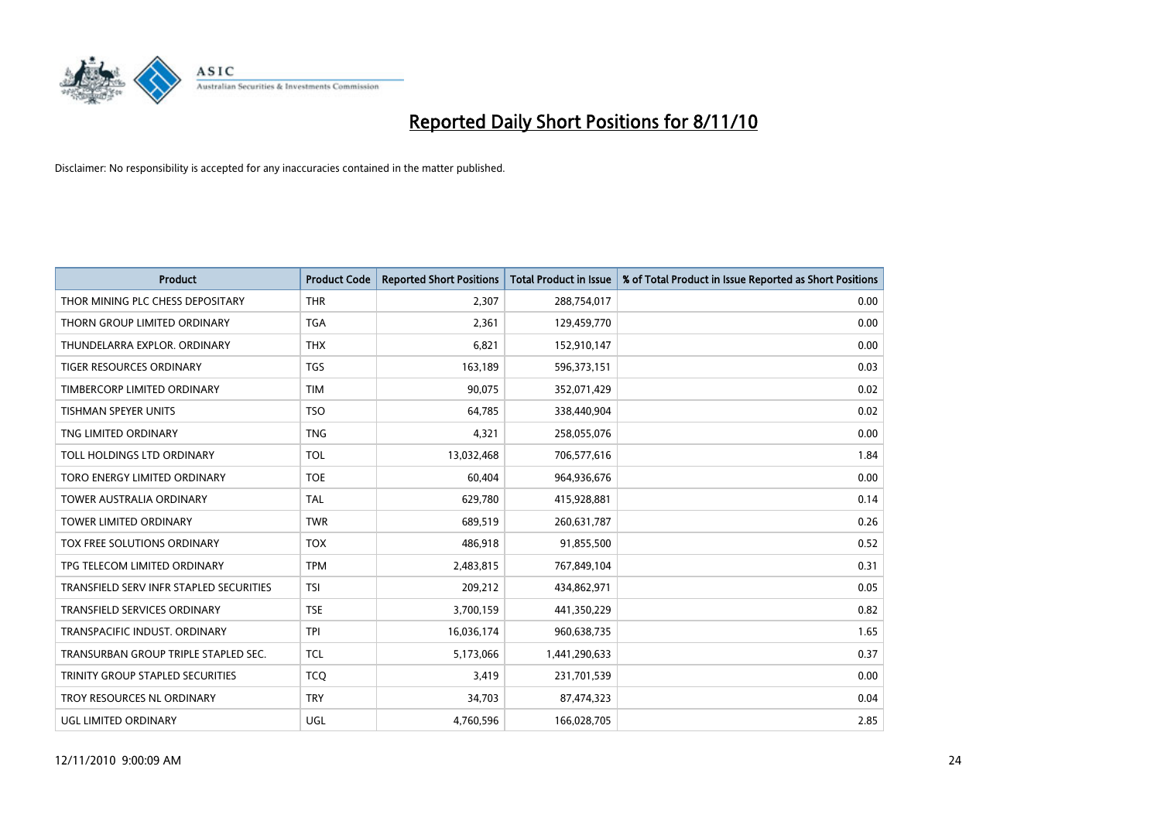

| <b>Product</b>                          | <b>Product Code</b> | <b>Reported Short Positions</b> | <b>Total Product in Issue</b> | % of Total Product in Issue Reported as Short Positions |
|-----------------------------------------|---------------------|---------------------------------|-------------------------------|---------------------------------------------------------|
| THOR MINING PLC CHESS DEPOSITARY        | <b>THR</b>          | 2,307                           | 288,754,017                   | 0.00                                                    |
| THORN GROUP LIMITED ORDINARY            | <b>TGA</b>          | 2,361                           | 129,459,770                   | 0.00                                                    |
| THUNDELARRA EXPLOR, ORDINARY            | <b>THX</b>          | 6,821                           | 152,910,147                   | 0.00                                                    |
| <b>TIGER RESOURCES ORDINARY</b>         | <b>TGS</b>          | 163,189                         | 596,373,151                   | 0.03                                                    |
| TIMBERCORP LIMITED ORDINARY             | <b>TIM</b>          | 90,075                          | 352,071,429                   | 0.02                                                    |
| <b>TISHMAN SPEYER UNITS</b>             | <b>TSO</b>          | 64,785                          | 338,440,904                   | 0.02                                                    |
| TNG LIMITED ORDINARY                    | <b>TNG</b>          | 4,321                           | 258,055,076                   | 0.00                                                    |
| TOLL HOLDINGS LTD ORDINARY              | <b>TOL</b>          | 13,032,468                      | 706,577,616                   | 1.84                                                    |
| TORO ENERGY LIMITED ORDINARY            | <b>TOE</b>          | 60,404                          | 964,936,676                   | 0.00                                                    |
| <b>TOWER AUSTRALIA ORDINARY</b>         | <b>TAL</b>          | 629,780                         | 415,928,881                   | 0.14                                                    |
| TOWER LIMITED ORDINARY                  | <b>TWR</b>          | 689,519                         | 260,631,787                   | 0.26                                                    |
| TOX FREE SOLUTIONS ORDINARY             | <b>TOX</b>          | 486,918                         | 91,855,500                    | 0.52                                                    |
| TPG TELECOM LIMITED ORDINARY            | <b>TPM</b>          | 2,483,815                       | 767,849,104                   | 0.31                                                    |
| TRANSFIELD SERV INFR STAPLED SECURITIES | <b>TSI</b>          | 209,212                         | 434,862,971                   | 0.05                                                    |
| <b>TRANSFIELD SERVICES ORDINARY</b>     | <b>TSE</b>          | 3,700,159                       | 441,350,229                   | 0.82                                                    |
| TRANSPACIFIC INDUST, ORDINARY           | <b>TPI</b>          | 16,036,174                      | 960,638,735                   | 1.65                                                    |
| TRANSURBAN GROUP TRIPLE STAPLED SEC.    | <b>TCL</b>          | 5,173,066                       | 1,441,290,633                 | 0.37                                                    |
| TRINITY GROUP STAPLED SECURITIES        | <b>TCO</b>          | 3,419                           | 231,701,539                   | 0.00                                                    |
| TROY RESOURCES NL ORDINARY              | <b>TRY</b>          | 34,703                          | 87,474,323                    | 0.04                                                    |
| UGL LIMITED ORDINARY                    | <b>UGL</b>          | 4,760,596                       | 166,028,705                   | 2.85                                                    |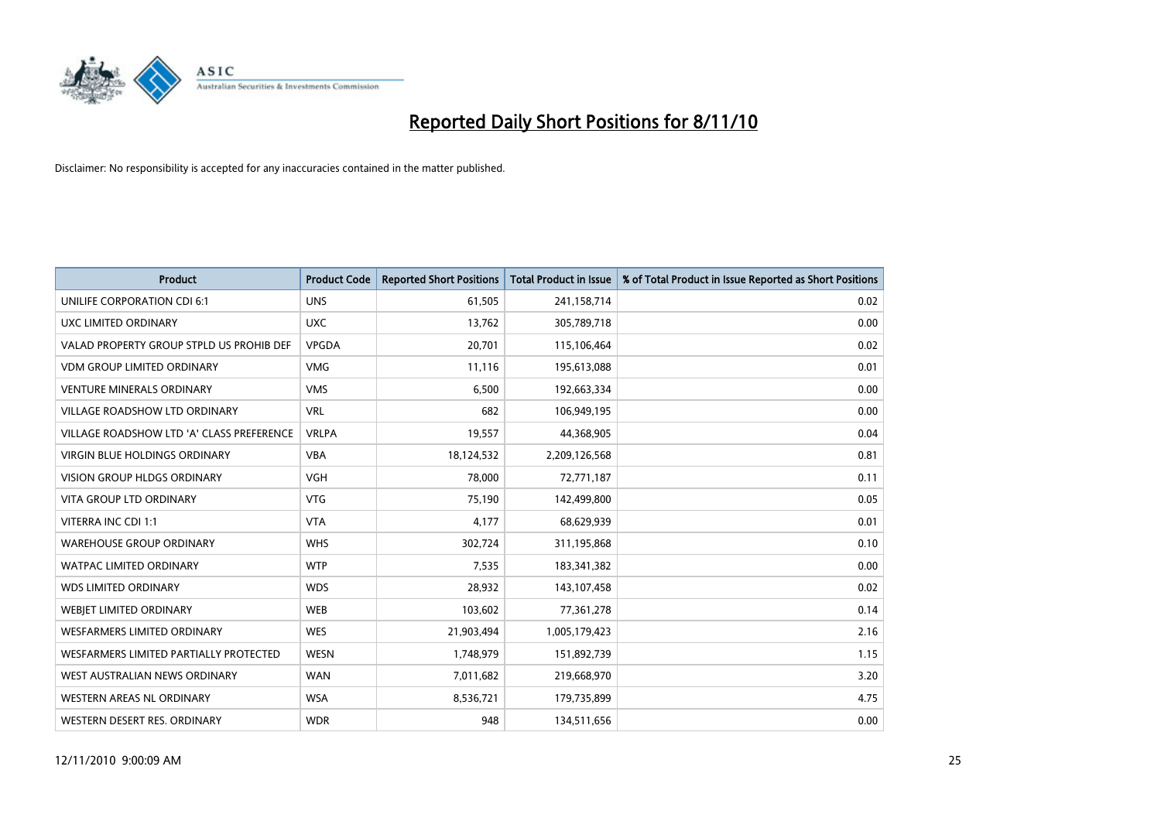

| <b>Product</b>                            | <b>Product Code</b> | <b>Reported Short Positions</b> | <b>Total Product in Issue</b> | % of Total Product in Issue Reported as Short Positions |
|-------------------------------------------|---------------------|---------------------------------|-------------------------------|---------------------------------------------------------|
| UNILIFE CORPORATION CDI 6:1               | <b>UNS</b>          | 61,505                          | 241,158,714                   | 0.02                                                    |
| UXC LIMITED ORDINARY                      | <b>UXC</b>          | 13,762                          | 305,789,718                   | 0.00                                                    |
| VALAD PROPERTY GROUP STPLD US PROHIB DEF  | VPGDA               | 20,701                          | 115,106,464                   | 0.02                                                    |
| <b>VDM GROUP LIMITED ORDINARY</b>         | <b>VMG</b>          | 11,116                          | 195,613,088                   | 0.01                                                    |
| <b>VENTURE MINERALS ORDINARY</b>          | <b>VMS</b>          | 6,500                           | 192,663,334                   | 0.00                                                    |
| <b>VILLAGE ROADSHOW LTD ORDINARY</b>      | <b>VRL</b>          | 682                             | 106,949,195                   | 0.00                                                    |
| VILLAGE ROADSHOW LTD 'A' CLASS PREFERENCE | <b>VRLPA</b>        | 19,557                          | 44,368,905                    | 0.04                                                    |
| VIRGIN BLUE HOLDINGS ORDINARY             | <b>VBA</b>          | 18,124,532                      | 2,209,126,568                 | 0.81                                                    |
| <b>VISION GROUP HLDGS ORDINARY</b>        | <b>VGH</b>          | 78,000                          | 72,771,187                    | 0.11                                                    |
| <b>VITA GROUP LTD ORDINARY</b>            | <b>VTG</b>          | 75,190                          | 142,499,800                   | 0.05                                                    |
| VITERRA INC CDI 1:1                       | <b>VTA</b>          | 4,177                           | 68,629,939                    | 0.01                                                    |
| <b>WAREHOUSE GROUP ORDINARY</b>           | <b>WHS</b>          | 302,724                         | 311,195,868                   | 0.10                                                    |
| <b>WATPAC LIMITED ORDINARY</b>            | <b>WTP</b>          | 7,535                           | 183,341,382                   | 0.00                                                    |
| <b>WDS LIMITED ORDINARY</b>               | <b>WDS</b>          | 28,932                          | 143,107,458                   | 0.02                                                    |
| WEBJET LIMITED ORDINARY                   | <b>WEB</b>          | 103,602                         | 77,361,278                    | 0.14                                                    |
| <b>WESFARMERS LIMITED ORDINARY</b>        | <b>WES</b>          | 21,903,494                      | 1,005,179,423                 | 2.16                                                    |
| WESFARMERS LIMITED PARTIALLY PROTECTED    | WESN                | 1,748,979                       | 151,892,739                   | 1.15                                                    |
| WEST AUSTRALIAN NEWS ORDINARY             | <b>WAN</b>          | 7,011,682                       | 219,668,970                   | 3.20                                                    |
| WESTERN AREAS NL ORDINARY                 | <b>WSA</b>          | 8,536,721                       | 179,735,899                   | 4.75                                                    |
| WESTERN DESERT RES. ORDINARY              | <b>WDR</b>          | 948                             | 134,511,656                   | 0.00                                                    |